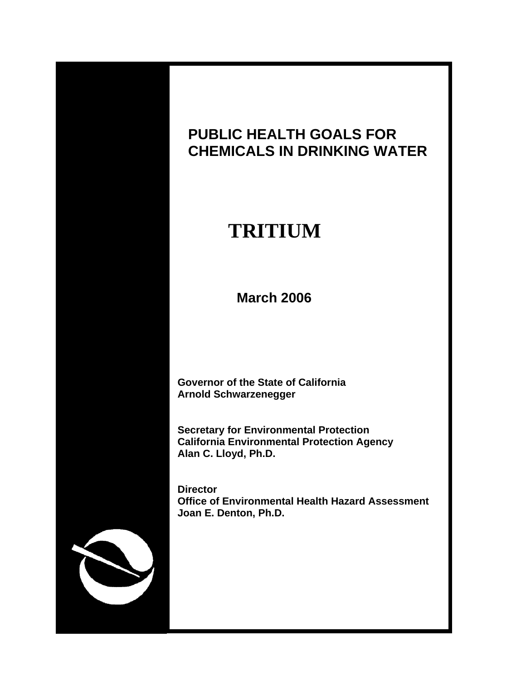

# **PUBLIC HEALTH GOALS FOR CHEMICALS IN DRINKING WATER**

# **TRITIUM**

 **March 2006** 

 **Governor of the State of California Arnold Schwarzenegger** 

 **Secretary for Environmental Protection California Environmental Protection Agency Alan C. Lloyd, Ph.D.** 

 **Director Office of Environmental Health Hazard Assessment Joan E. Denton, Ph.D.**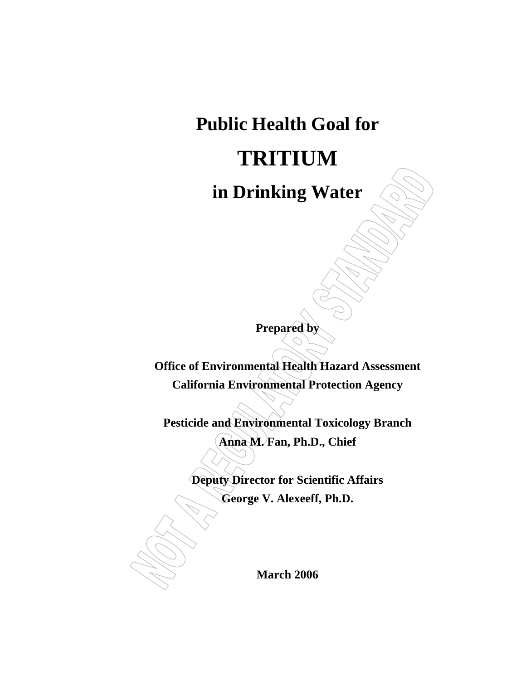# **Public Health Goal for TRITIUM in Drinking Water**

**Prepared by** 

**Office of Environmental Health Hazard Assessment California Environmental Protection Agency** 

**Pesticide and Environmental Toxicology Branch Anna M. Fan, Ph.D., Chief** 

**Deputy Director for Scientific Affairs** 

**George V. Alexeeff, Ph.D.** 

**March 2006**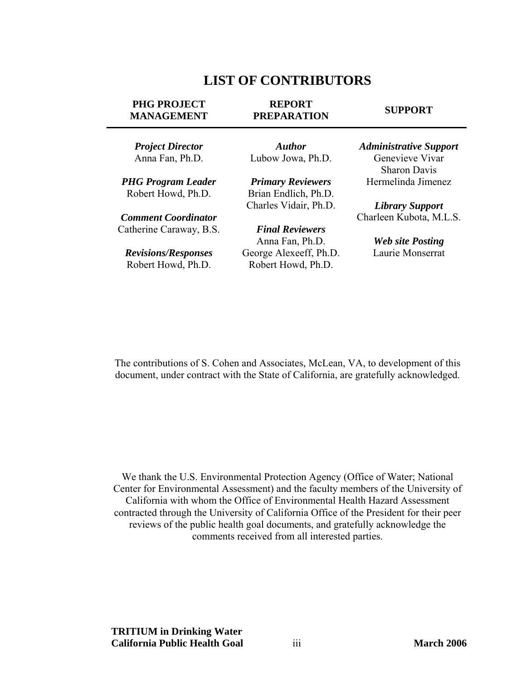# **LIST OF CONTRIBUTORS**

#### <span id="page-2-0"></span>**PHG PROJECT MANAGEMENT**

#### **REPORT PREPARATION**

#### **SUPPORT**

*Project Director* Anna Fan, Ph.D.

*PHG Program Leader* Robert Howd, Ph.D.

*Comment Coordinator*  Catherine Caraway, B.S.

*Revisions/Responses* Robert Howd, Ph.D.

*Author* Lubow Jowa, Ph.D.

*Primary Reviewers* Brian Endlich, Ph.D. Charles Vidair, Ph.D.

*Final Reviewers* Anna Fan, Ph.D. George Alexeeff, Ph.D. Robert Howd, Ph.D.

*Administrative Support* Genevieve Vivar Sharon Davis Hermelinda Jimenez

*Library Support* Charleen Kubota, M.L.S.

> *Web site Posting* Laurie Monserrat

The contributions of S. Cohen and Associates, McLean, VA, to development of this document, under contract with the State of California, are gratefully acknowledged.

We thank the U.S. Environmental Protection Agency (Office of Water; National Center for Environmental Assessment) and the faculty members of the University of California with whom the Office of Environmental Health Hazard Assessment contracted through the University of California Office of the President for their peer reviews of the public health goal documents, and gratefully acknowledge the comments received from all interested parties.

**TRITIUM in Drinking Water California Public Health Goal** iii **March 2006**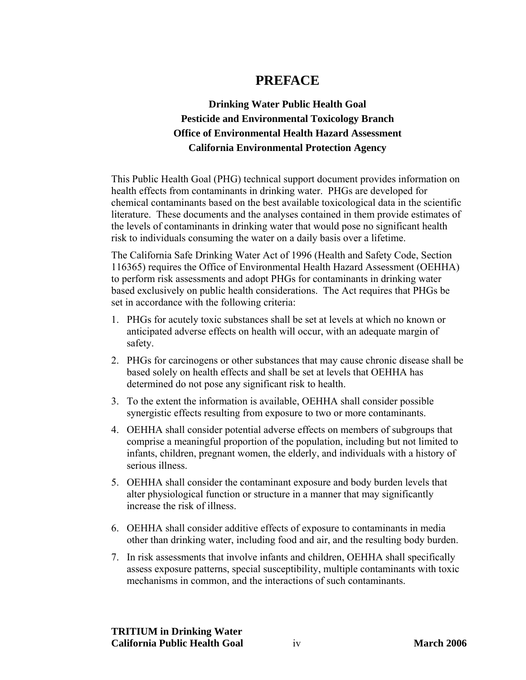# **PREFACE**

# <span id="page-3-0"></span>**Drinking Water Public Health Goal Pesticide and Environmental Toxicology Branch Office of Environmental Health Hazard Assessment California Environmental Protection Agency**

This Public Health Goal (PHG) technical support document provides information on health effects from contaminants in drinking water. PHGs are developed for chemical contaminants based on the best available toxicological data in the scientific literature. These documents and the analyses contained in them provide estimates of the levels of contaminants in drinking water that would pose no significant health risk to individuals consuming the water on a daily basis over a lifetime.

The California Safe Drinking Water Act of 1996 (Health and Safety Code, Section 116365) requires the Office of Environmental Health Hazard Assessment (OEHHA) to perform risk assessments and adopt PHGs for contaminants in drinking water based exclusively on public health considerations. The Act requires that PHGs be set in accordance with the following criteria:

- 1. PHGs for acutely toxic substances shall be set at levels at which no known or anticipated adverse effects on health will occur, with an adequate margin of safety.
- 2. PHGs for carcinogens or other substances that may cause chronic disease shall be based solely on health effects and shall be set at levels that OEHHA has determined do not pose any significant risk to health.
- 3. To the extent the information is available, OEHHA shall consider possible synergistic effects resulting from exposure to two or more contaminants.
- 4. OEHHA shall consider potential adverse effects on members of subgroups that comprise a meaningful proportion of the population, including but not limited to infants, children, pregnant women, the elderly, and individuals with a history of serious illness.
- 5. OEHHA shall consider the contaminant exposure and body burden levels that alter physiological function or structure in a manner that may significantly increase the risk of illness.
- 6. OEHHA shall consider additive effects of exposure to contaminants in media other than drinking water, including food and air, and the resulting body burden.
- 7. In risk assessments that involve infants and children, OEHHA shall specifically assess exposure patterns, special susceptibility, multiple contaminants with toxic mechanisms in common, and the interactions of such contaminants.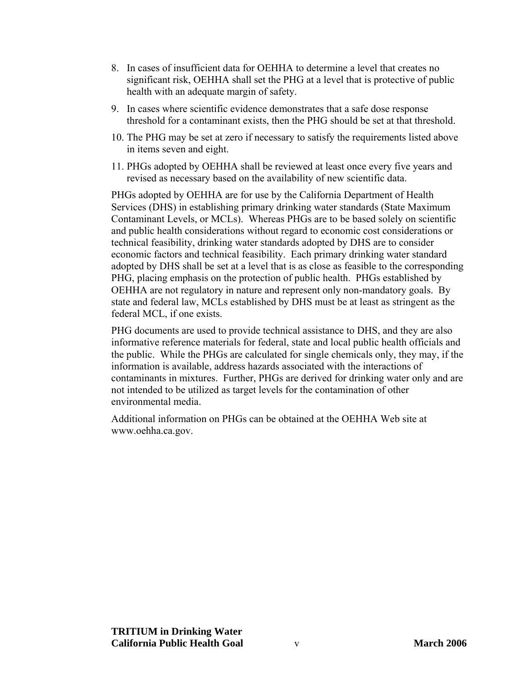- 8. In cases of insufficient data for OEHHA to determine a level that creates no significant risk, OEHHA shall set the PHG at a level that is protective of public health with an adequate margin of safety.
- 9. In cases where scientific evidence demonstrates that a safe dose response threshold for a contaminant exists, then the PHG should be set at that threshold.
- 10. The PHG may be set at zero if necessary to satisfy the requirements listed above in items seven and eight.
- 11. PHGs adopted by OEHHA shall be reviewed at least once every five years and revised as necessary based on the availability of new scientific data.

PHGs adopted by OEHHA are for use by the California Department of Health Services (DHS) in establishing primary drinking water standards (State Maximum Contaminant Levels, or MCLs). Whereas PHGs are to be based solely on scientific and public health considerations without regard to economic cost considerations or technical feasibility, drinking water standards adopted by DHS are to consider economic factors and technical feasibility. Each primary drinking water standard adopted by DHS shall be set at a level that is as close as feasible to the corresponding PHG, placing emphasis on the protection of public health. PHGs established by OEHHA are not regulatory in nature and represent only non-mandatory goals. By state and federal law, MCLs established by DHS must be at least as stringent as the federal MCL, if one exists.

PHG documents are used to provide technical assistance to DHS, and they are also informative reference materials for federal, state and local public health officials and the public. While the PHGs are calculated for single chemicals only, they may, if the information is available, address hazards associated with the interactions of contaminants in mixtures. Further, PHGs are derived for drinking water only and are not intended to be utilized as target levels for the contamination of other environmental media.

Additional information on PHGs can be obtained at the OEHHA Web site at <www.oehha.ca.gov.>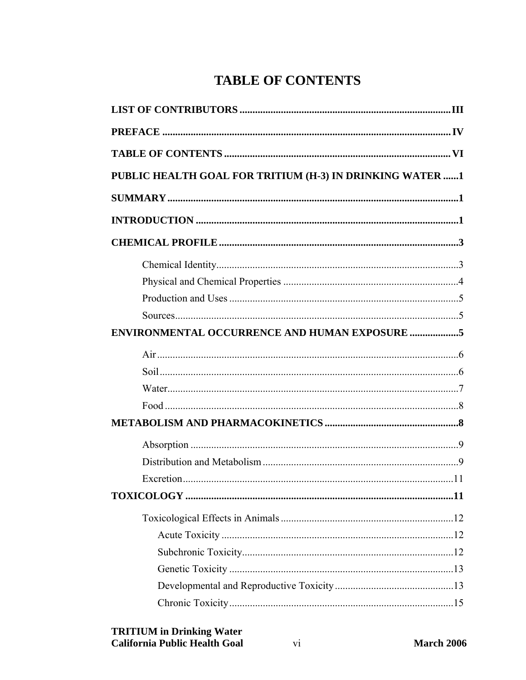# **TABLE OF CONTENTS**

<span id="page-5-0"></span>

| PUBLIC HEALTH GOAL FOR TRITIUM (H-3) IN DRINKING WATER 1 |
|----------------------------------------------------------|
|                                                          |
|                                                          |
|                                                          |
|                                                          |
|                                                          |
|                                                          |
|                                                          |
|                                                          |
|                                                          |
|                                                          |
|                                                          |
|                                                          |
|                                                          |
|                                                          |
|                                                          |
|                                                          |
|                                                          |
|                                                          |
|                                                          |
|                                                          |
|                                                          |
|                                                          |
|                                                          |
|                                                          |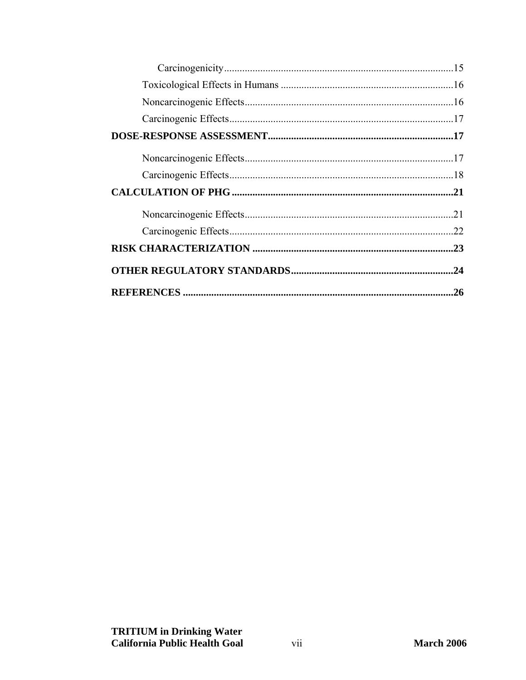| .22 |
|-----|
|     |
| .24 |
| .26 |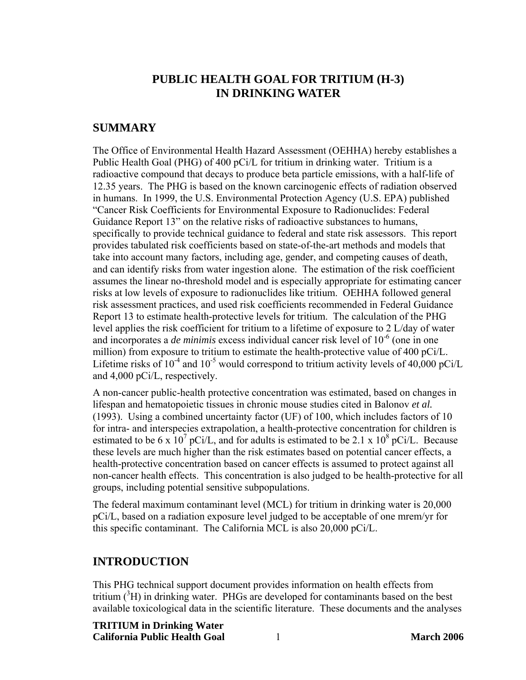# **PUBLIC HEALTH GOAL FOR TRITIUM (H-3) IN DRINKING WATER**

#### <span id="page-7-0"></span>**SUMMARY**

The Office of Environmental Health Hazard Assessment (OEHHA) hereby establishes a Public Health Goal (PHG) of 400 pCi/L for tritium in drinking water. Tritium is a radioactive compound that decays to produce beta particle emissions, with a half-life of 12.35 years. The PHG is based on the known carcinogenic effects of radiation observed in humans. In 1999, the U.S. Environmental Protection Agency (U.S. EPA) published "Cancer Risk Coefficients for Environmental Exposure to Radionuclides: Federal Guidance Report 13" on the relative risks of radioactive substances to humans, specifically to provide technical guidance to federal and state risk assessors. This report provides tabulated risk coefficients based on state-of-the-art methods and models that take into account many factors, including age, gender, and competing causes of death, and can identify risks from water ingestion alone. The estimation of the risk coefficient assumes the linear no-threshold model and is especially appropriate for estimating cancer risks at low levels of exposure to radionuclides like tritium. OEHHA followed general risk assessment practices, and used risk coefficients recommended in Federal Guidance Report 13 to estimate health-protective levels for tritium. The calculation of the PHG level applies the risk coefficient for tritium to a lifetime of exposure to 2 L/day of water and incorporates a *de minimis* excess individual cancer risk level of 10-6 (one in one million) from exposure to tritium to estimate the health-protective value of 400 pCi/L. Lifetime risks of  $10^{-4}$  and  $10^{-5}$  would correspond to tritium activity levels of 40,000 pCi/L and 4,000 pCi/L, respectively.

A non-cancer public-health protective concentration was estimated, based on changes in lifespan and hematopoietic tissues in chronic mouse studies cited in Balonov *et al.* (1993). Using a combined uncertainty factor (UF) of 100, which includes factors of 10 for intra- and interspecies extrapolation, a health-protective concentration for children is estimated to be 6 x  $10^7$  pCi/L, and for adults is estimated to be 2.1 x  $10^8$  pCi/L. Because these levels are much higher than the risk estimates based on potential cancer effects, a health-protective concentration based on cancer effects is assumed to protect against all non-cancer health effects. This concentration is also judged to be health-protective for all groups, including potential sensitive subpopulations.

The federal maximum contaminant level (MCL) for tritium in drinking water is 20,000 pCi/L, based on a radiation exposure level judged to be acceptable of one mrem/yr for this specific contaminant. The California MCL is also 20,000 pCi/L.

#### **INTRODUCTION**

This PHG technical support document provides information on health effects from tritium  $(^{3}H)$  in drinking water. PHGs are developed for contaminants based on the best available toxicological data in the scientific literature. These documents and the analyses

#### **TRITIUM in Drinking Water California Public Health Goal** 1 **March 2006**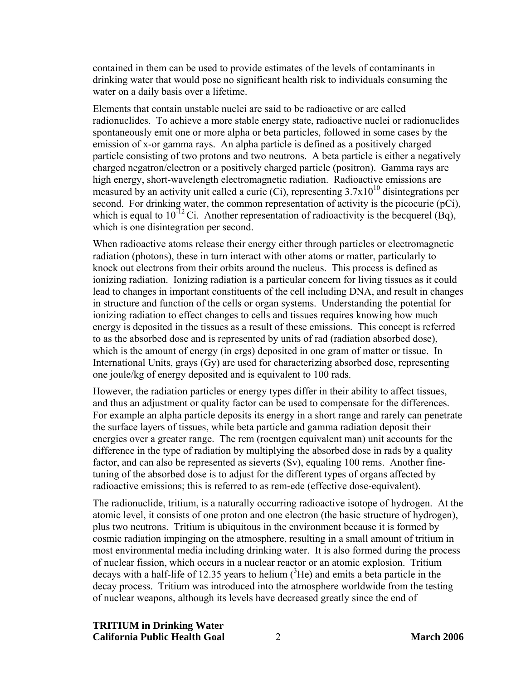contained in them can be used to provide estimates of the levels of contaminants in drinking water that would pose no significant health risk to individuals consuming the water on a daily basis over a lifetime.

Elements that contain unstable nuclei are said to be radioactive or are called radionuclides. To achieve a more stable energy state, radioactive nuclei or radionuclides spontaneously emit one or more alpha or beta particles, followed in some cases by the emission of x-or gamma rays. An alpha particle is defined as a positively charged particle consisting of two protons and two neutrons. A beta particle is either a negatively charged negatron/electron or a positively charged particle (positron). Gamma rays are high energy, short-wavelength electromagnetic radiation. Radioactive emissions are measured by an activity unit called a curie (Ci), representing  $3.7x10^{10}$  disintegrations per second. For drinking water, the common representation of activity is the picocurie (pCi), which is equal to  $10^{-12}$  Ci. Another representation of radioactivity is the becquerel (Bq), which is one disintegration per second.

When radioactive atoms release their energy either through particles or electromagnetic radiation (photons), these in turn interact with other atoms or matter, particularly to knock out electrons from their orbits around the nucleus. This process is defined as ionizing radiation. Ionizing radiation is a particular concern for living tissues as it could lead to changes in important constituents of the cell including DNA, and result in changes in structure and function of the cells or organ systems. Understanding the potential for ionizing radiation to effect changes to cells and tissues requires knowing how much energy is deposited in the tissues as a result of these emissions. This concept is referred to as the absorbed dose and is represented by units of rad (radiation absorbed dose), which is the amount of energy (in ergs) deposited in one gram of matter or tissue. In International Units, grays (Gy) are used for characterizing absorbed dose, representing one joule/kg of energy deposited and is equivalent to 100 rads.

However, the radiation particles or energy types differ in their ability to affect tissues, and thus an adjustment or quality factor can be used to compensate for the differences. For example an alpha particle deposits its energy in a short range and rarely can penetrate the surface layers of tissues, while beta particle and gamma radiation deposit their energies over a greater range. The rem (roentgen equivalent man) unit accounts for the difference in the type of radiation by multiplying the absorbed dose in rads by a quality factor, and can also be represented as sieverts (Sv), equaling 100 rems. Another finetuning of the absorbed dose is to adjust for the different types of organs affected by radioactive emissions; this is referred to as rem-ede (effective dose-equivalent).

The radionuclide, tritium, is a naturally occurring radioactive isotope of hydrogen. At the atomic level, it consists of one proton and one electron (the basic structure of hydrogen), plus two neutrons. Tritium is ubiquitous in the environment because it is formed by cosmic radiation impinging on the atmosphere, resulting in a small amount of tritium in most environmental media including drinking water. It is also formed during the process of nuclear fission, which occurs in a nuclear reactor or an atomic explosion. Tritium decays with a half-life of 12.35 years to helium  $({}^{3}He)$  and emits a beta particle in the decay process. Tritium was introduced into the atmosphere worldwide from the testing of nuclear weapons, although its levels have decreased greatly since the end of

**TRITIUM in Drinking Water California Public Health Goal** 2 **March 2006**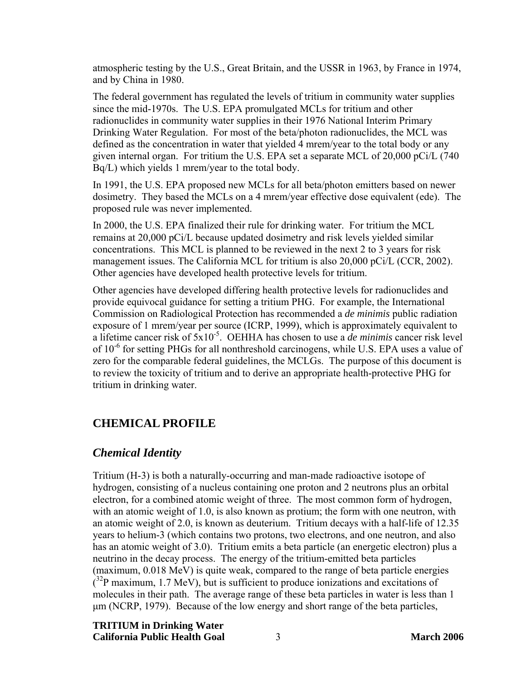<span id="page-9-0"></span>atmospheric testing by the U.S., Great Britain, and the USSR in 1963, by France in 1974, and by China in 1980.

The federal government has regulated the levels of tritium in community water supplies since the mid-1970s. The U.S. EPA promulgated MCLs for tritium and other radionuclides in community water supplies in their 1976 National Interim Primary Drinking Water Regulation. For most of the beta/photon radionuclides, the MCL was defined as the concentration in water that yielded 4 mrem/year to the total body or any given internal organ. For tritium the U.S. EPA set a separate MCL of 20,000 pCi/L (740 Bq/L) which yields 1 mrem/year to the total body.

In 1991, the U.S. EPA proposed new MCLs for all beta/photon emitters based on newer dosimetry. They based the MCLs on a 4 mrem/year effective dose equivalent (ede). The proposed rule was never implemented.

In 2000, the U.S. EPA finalized their rule for drinking water. For tritium the MCL remains at 20,000 pCi/L because updated dosimetry and risk levels yielded similar concentrations. This MCL is planned to be reviewed in the next 2 to 3 years for risk management issues. The California MCL for tritium is also 20,000 pCi/L (CCR, 2002). Other agencies have developed health protective levels for tritium.

Other agencies have developed differing health protective levels for radionuclides and provide equivocal guidance for setting a tritium PHG. For example, the International Commission on Radiological Protection has recommended a *de minimis* public radiation exposure of 1 mrem/year per source (ICRP, 1999), which is approximately equivalent to a lifetime cancer risk of 5x10-5. OEHHA has chosen to use a *de minimis* cancer risk level of  $10^{-6}$  for setting PHGs for all nonthreshold carcinogens, while U.S. EPA uses a value of zero for the comparable federal guidelines, the MCLGs. The purpose of this document is to review the toxicity of tritium and to derive an appropriate health-protective PHG for tritium in drinking water.

# **CHEMICAL PROFILE**

## *Chemical Identity*

Tritium (H-3) is both a naturally-occurring and man-made radioactive isotope of hydrogen, consisting of a nucleus containing one proton and 2 neutrons plus an orbital electron, for a combined atomic weight of three. The most common form of hydrogen, with an atomic weight of 1.0, is also known as protium; the form with one neutron, with an atomic weight of 2.0, is known as deuterium. Tritium decays with a half-life of 12.35 years to helium-3 (which contains two protons, two electrons, and one neutron, and also has an atomic weight of 3.0). Tritium emits a beta particle (an energetic electron) plus a neutrino in the decay process. The energy of the tritium-emitted beta particles (maximum, 0.018 MeV) is quite weak, compared to the range of beta particle energies  $(32P)$  maximum, 1.7 MeV), but is sufficient to produce ionizations and excitations of molecules in their path. The average range of these beta particles in water is less than 1 μm (NCRP, 1979). Because of the low energy and short range of the beta particles,

#### **TRITIUM in Drinking Water California Public Health Goal** 3 **March 2006**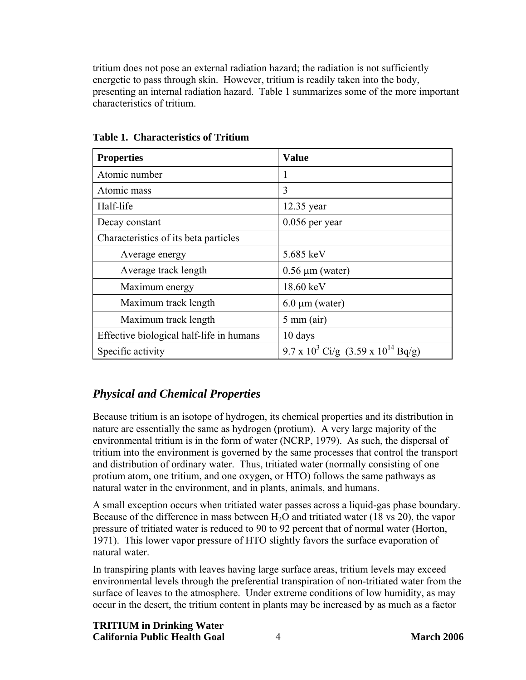<span id="page-10-0"></span>tritium does not pose an external radiation hazard; the radiation is not sufficiently energetic to pass through skin. However, tritium is readily taken into the body, presenting an internal radiation hazard. Table 1 summarizes some of the more important characteristics of tritium.

| <b>Properties</b>                        | <b>Value</b>                                   |
|------------------------------------------|------------------------------------------------|
| Atomic number                            |                                                |
| Atomic mass                              | 3                                              |
| Half-life                                | 12.35 year                                     |
| Decay constant                           | $0.056$ per year                               |
| Characteristics of its beta particles    |                                                |
| Average energy                           | 5.685 keV                                      |
| Average track length                     | $0.56 \mu m$ (water)                           |
| Maximum energy                           | 18.60 keV                                      |
| Maximum track length                     | $6.0 \mu m$ (water)                            |
| Maximum track length                     | $5 \text{ mm (air)}$                           |
| Effective biological half-life in humans | 10 days                                        |
| Specific activity                        | 9.7 x $10^3$ Ci/g $(3.59 \times 10^{14}$ Bq/g) |

**Table 1. Characteristics of Tritium** 

# *Physical and Chemical Properties*

Because tritium is an isotope of hydrogen, its chemical properties and its distribution in nature are essentially the same as hydrogen (protium). A very large majority of the environmental tritium is in the form of water (NCRP, 1979). As such, the dispersal of tritium into the environment is governed by the same processes that control the transport and distribution of ordinary water. Thus, tritiated water (normally consisting of one protium atom, one tritium, and one oxygen, or HTO) follows the same pathways as natural water in the environment, and in plants, animals, and humans.

A small exception occurs when tritiated water passes across a liquid-gas phase boundary. Because of the difference in mass between  $H_2O$  and tritiated water (18 vs 20), the vapor pressure of tritiated water is reduced to 90 to 92 percent that of normal water (Horton, 1971). This lower vapor pressure of HTO slightly favors the surface evaporation of natural water.

In transpiring plants with leaves having large surface areas, tritium levels may exceed environmental levels through the preferential transpiration of non-tritiated water from the surface of leaves to the atmosphere. Under extreme conditions of low humidity, as may occur in the desert, the tritium content in plants may be increased by as much as a factor

**TRITIUM in Drinking Water California Public Health Goal** 4 **March 2006**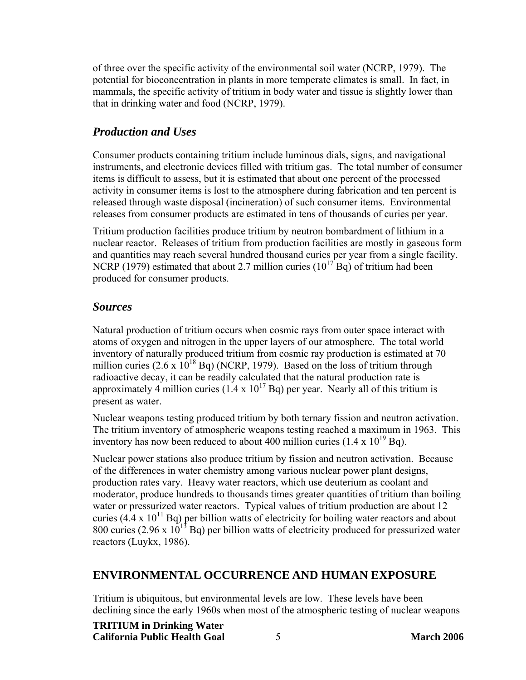<span id="page-11-0"></span>of three over the specific activity of the environmental soil water (NCRP, 1979). The potential for bioconcentration in plants in more temperate climates is small. In fact, in mammals, the specific activity of tritium in body water and tissue is slightly lower than that in drinking water and food (NCRP, 1979).

#### *Production and Uses*

Consumer products containing tritium include luminous dials, signs, and navigational instruments, and electronic devices filled with tritium gas. The total number of consumer items is difficult to assess, but it is estimated that about one percent of the processed activity in consumer items is lost to the atmosphere during fabrication and ten percent is released through waste disposal (incineration) of such consumer items. Environmental releases from consumer products are estimated in tens of thousands of curies per year.

Tritium production facilities produce tritium by neutron bombardment of lithium in a nuclear reactor. Releases of tritium from production facilities are mostly in gaseous form and quantities may reach several hundred thousand curies per year from a single facility. NCRP (1979) estimated that about 2.7 million curies ( $10^{17}$  Bq) of tritium had been produced for consumer products.

#### *Sources*

Natural production of tritium occurs when cosmic rays from outer space interact with atoms of oxygen and nitrogen in the upper layers of our atmosphere. The total world inventory of naturally produced tritium from cosmic ray production is estimated at 70 million curies  $(2.6 \times 10^{18}$  Bq) (NCRP, 1979). Based on the loss of tritium through radioactive decay, it can be readily calculated that the natural production rate is approximately 4 million curies  $(1.4 \times 10^{17}$  Bq) per year. Nearly all of this tritium is present as water.

Nuclear weapons testing produced tritium by both ternary fission and neutron activation. The tritium inventory of atmospheric weapons testing reached a maximum in 1963. This inventory has now been reduced to about 400 million curies  $(1.4 \times 10^{19}$  Bq).

Nuclear power stations also produce tritium by fission and neutron activation. Because of the differences in water chemistry among various nuclear power plant designs, production rates vary. Heavy water reactors, which use deuterium as coolant and moderator, produce hundreds to thousands times greater quantities of tritium than boiling water or pressurized water reactors. Typical values of tritium production are about 12 curies (4.4 x  $10^{11}$  Bq) per billion watts of electricity for boiling water reactors and about 800 curies (2.96 x  $10^{13}$  Bq) per billion watts of electricity produced for pressurized water reactors (Luykx, 1986).

## **ENVIRONMENTAL OCCURRENCE AND HUMAN EXPOSURE**

Tritium is ubiquitous, but environmental levels are low. These levels have been declining since the early 1960s when most of the atmospheric testing of nuclear weapons

**TRITIUM in Drinking Water** 

**California Public Health Goal** 5 **March 2006**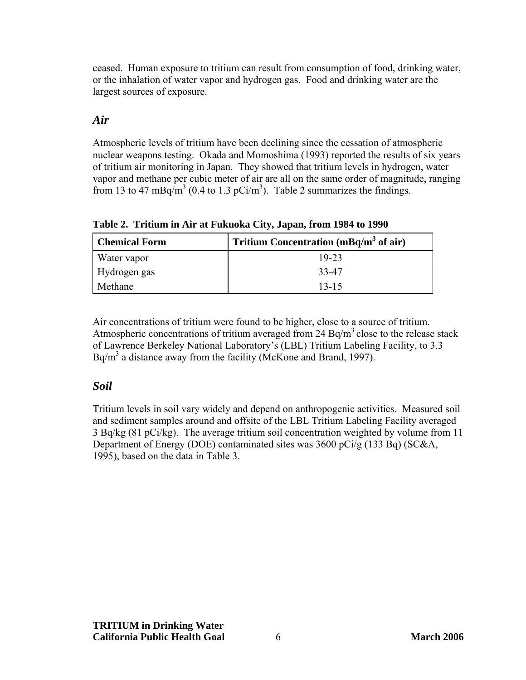<span id="page-12-0"></span>ceased. Human exposure to tritium can result from consumption of food, drinking water, or the inhalation of water vapor and hydrogen gas. Food and drinking water are the largest sources of exposure.

#### *Air*

Atmospheric levels of tritium have been declining since the cessation of atmospheric nuclear weapons testing. Okada and Momoshima (1993) reported the results of six years of tritium air monitoring in Japan. They showed that tritium levels in hydrogen, water vapor and methane per cubic meter of air are all on the same order of magnitude, ranging from 13 to 47 mBq/m<sup>3</sup> (0.4 to 1.3 pCi/m<sup>3</sup>). Table 2 summarizes the findings.

**Chemical Form** Tritium Concentration (mBq/m<sup>3</sup> of air) Water vapor 19-23 Hydrogen gas 33-47 Methane 13-15

**Table 2. Tritium in Air at Fukuoka City, Japan, from 1984 to 1990** 

Air concentrations of tritium were found to be higher, close to a source of tritium. Atmospheric concentrations of tritium averaged from 24 Bq/m<sup>3</sup> close to the release stack of Lawrence Berkeley National Laboratory's (LBL) Tritium Labeling Facility, to 3.3  $Bq/m<sup>3</sup>$  a distance away from the facility (McKone and Brand, 1997).

# *Soil*

Tritium levels in soil vary widely and depend on anthropogenic activities. Measured soil and sediment samples around and offsite of the LBL Tritium Labeling Facility averaged 3 Bq/kg (81 pCi/kg). The average tritium soil concentration weighted by volume from 11 Department of Energy (DOE) contaminated sites was 3600 pCi/g (133 Bq) (SC&A, 1995), based on the data in Table 3.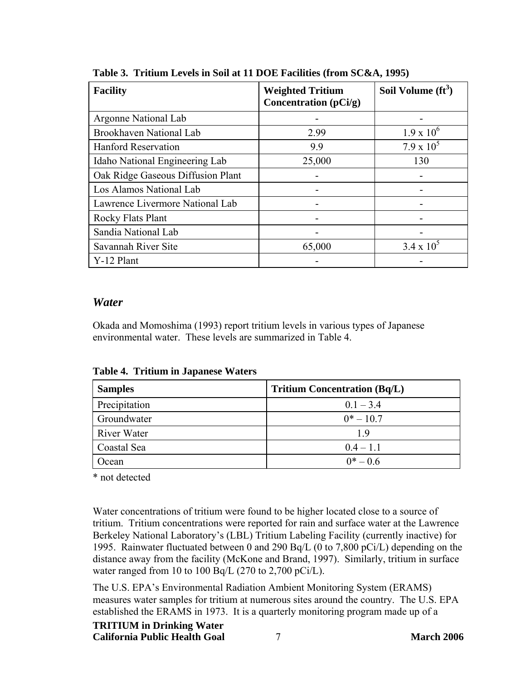| <b>Facility</b>                   | <b>Weighted Tritium</b><br>Concentration (pCi/g) | Soil Volume $(f t^3)$ |
|-----------------------------------|--------------------------------------------------|-----------------------|
| Argonne National Lab              |                                                  |                       |
| Brookhaven National Lab           | 2.99                                             | $1.9 \times 10^{6}$   |
| <b>Hanford Reservation</b>        | 9.9                                              | $7.9 \times 10^5$     |
| Idaho National Engineering Lab    | 25,000                                           | 130                   |
| Oak Ridge Gaseous Diffusion Plant |                                                  |                       |
| Los Alamos National Lab           |                                                  |                       |
| Lawrence Livermore National Lab   |                                                  |                       |
| Rocky Flats Plant                 |                                                  |                       |
| Sandia National Lab               |                                                  |                       |
| Savannah River Site               | 65,000                                           | $3.4 \times 10^{5}$   |
| Y-12 Plant                        |                                                  |                       |

<span id="page-13-0"></span>**Table 3. Tritium Levels in Soil at 11 DOE Facilities (from SC&A, 1995)** 

#### *Water*

Okada and Momoshima (1993) report tritium levels in various types of Japanese environmental water. These levels are summarized in Table 4.

| <b>Samples</b> | <b>Tritium Concentration (Bq/L)</b> |
|----------------|-------------------------------------|
| Precipitation  | $0.1 - 3.4$                         |
| Groundwater    | $0^* - 10.7$                        |
| River Water    | 19                                  |
| Coastal Sea    | $0.4 - 1.1$                         |
| Ocean          | $0^* - 0.6$                         |

**Table 4. Tritium in Japanese Waters** 

\* not detected

Water concentrations of tritium were found to be higher located close to a source of tritium. Tritium concentrations were reported for rain and surface water at the Lawrence Berkeley National Laboratory's (LBL) Tritium Labeling Facility (currently inactive) for 1995. Rainwater fluctuated between 0 and 290 Bq/L (0 to 7,800 pCi/L) depending on the distance away from the facility (McKone and Brand, 1997). Similarly, tritium in surface water ranged from 10 to 100 Bq/L (270 to 2,700 pCi/L).

The U.S. EPA's Environmental Radiation Ambient Monitoring System (ERAMS) measures water samples for tritium at numerous sites around the country. The U.S. EPA established the ERAMS in 1973. It is a quarterly monitoring program made up of a

## **TRITIUM in Drinking Water**

**California Public Health Goal** 7 **March 2006**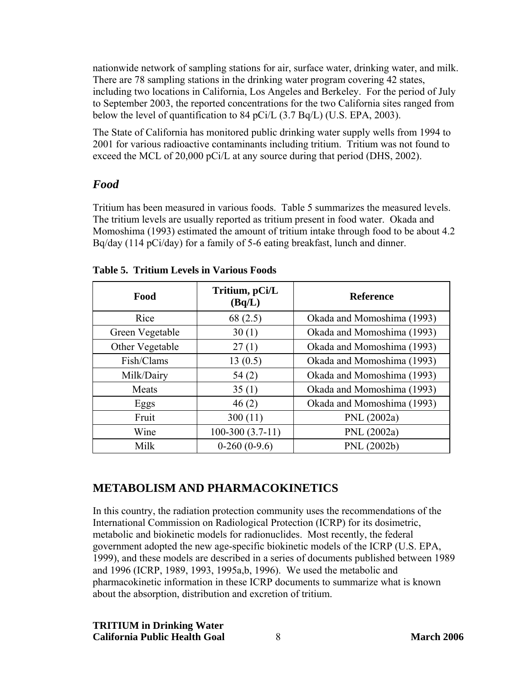<span id="page-14-0"></span>nationwide network of sampling stations for air, surface water, drinking water, and milk. There are 78 sampling stations in the drinking water program covering 42 states, including two locations in California, Los Angeles and Berkeley. For the period of July to September 2003, the reported concentrations for the two California sites ranged from below the level of quantification to 84 pCi/L (3.7 Bq/L) (U.S. EPA, 2003).

The State of California has monitored public drinking water supply wells from 1994 to 2001 for various radioactive contaminants including tritium. Tritium was not found to exceed the MCL of 20,000 pCi/L at any source during that period (DHS, 2002).

# *Food*

Tritium has been measured in various foods. Table 5 summarizes the measured levels. The tritium levels are usually reported as tritium present in food water. Okada and Momoshima (1993) estimated the amount of tritium intake through food to be about 4.2 Bq/day (114 pCi/day) for a family of 5-6 eating breakfast, lunch and dinner.

| Food            | Tritium, pCi/L<br>(Bq/L) | <b>Reference</b>           |
|-----------------|--------------------------|----------------------------|
| Rice            | 68(2.5)                  | Okada and Momoshima (1993) |
| Green Vegetable | 30(1)                    | Okada and Momoshima (1993) |
| Other Vegetable | 27(1)                    | Okada and Momoshima (1993) |
| Fish/Clams      | 13(0.5)                  | Okada and Momoshima (1993) |
| Milk/Dairy      | 54(2)                    | Okada and Momoshima (1993) |
| Meats           | 35(1)                    | Okada and Momoshima (1993) |
| Eggs            | 46(2)                    | Okada and Momoshima (1993) |
| Fruit           | 300(11)                  | PNL (2002a)                |
| Wine            | $100-300(3.7-11)$        | PNL (2002a)                |
| Milk            | $0-260(0-9.6)$           | PNL (2002b)                |

# **METABOLISM AND PHARMACOKINETICS**

In this country, the radiation protection community uses the recommendations of the International Commission on Radiological Protection (ICRP) for its dosimetric, metabolic and biokinetic models for radionuclides. Most recently, the federal government adopted the new age-specific biokinetic models of the ICRP (U.S. EPA, 1999), and these models are described in a series of documents published between 1989 and 1996 (ICRP, 1989, 1993, 1995a,b, 1996). We used the metabolic and pharmacokinetic information in these ICRP documents to summarize what is known about the absorption, distribution and excretion of tritium.

**TRITIUM in Drinking Water California Public Health Goal** 8 **March 2006**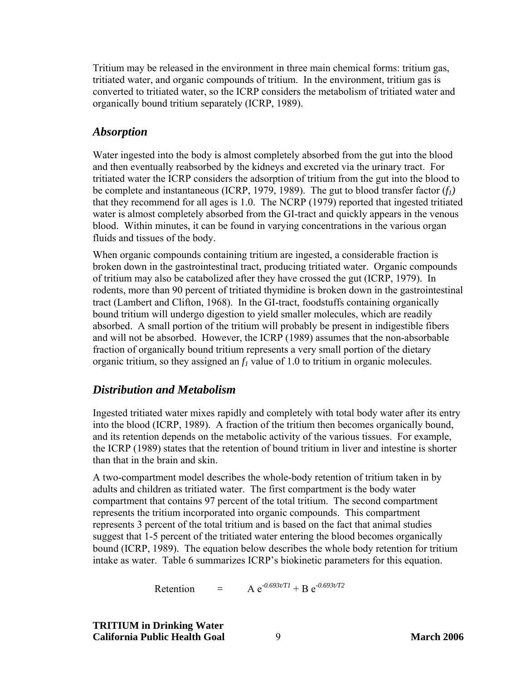<span id="page-15-0"></span>Tritium may be released in the environment in three main chemical forms: tritium gas, tritiated water, and organic compounds of tritium. In the environment, tritium gas is converted to tritiated water, so the ICRP considers the metabolism of tritiated water and organically bound tritium separately (ICRP, 1989).

## *Absorption*

Water ingested into the body is almost completely absorbed from the gut into the blood and then eventually reabsorbed by the kidneys and excreted via the urinary tract. For tritiated water the ICRP considers the adsorption of tritium from the gut into the blood to be complete and instantaneous (ICRP, 1979, 1989). The gut to blood transfer factor  $(f_1)$ that they recommend for all ages is 1.0. The NCRP (1979) reported that ingested tritiated water is almost completely absorbed from the GI-tract and quickly appears in the venous blood. Within minutes, it can be found in varying concentrations in the various organ fluids and tissues of the body.

When organic compounds containing tritium are ingested, a considerable fraction is broken down in the gastrointestinal tract, producing tritiated water. Organic compounds of tritium may also be catabolized after they have crossed the gut (ICRP, 1979). In rodents, more than 90 percent of tritiated thymidine is broken down in the gastrointestinal tract (Lambert and Clifton, 1968). In the GI-tract, foodstuffs containing organically bound tritium will undergo digestion to yield smaller molecules, which are readily absorbed. A small portion of the tritium will probably be present in indigestible fibers and will not be absorbed. However, the ICRP (1989) assumes that the non-absorbable fraction of organically bound tritium represents a very small portion of the dietary organic tritium, so they assigned an  $f_l$  value of 1.0 to tritium in organic molecules.

# *Distribution and Metabolism*

Ingested tritiated water mixes rapidly and completely with total body water after its entry into the blood (ICRP, 1989). A fraction of the tritium then becomes organically bound, and its retention depends on the metabolic activity of the various tissues. For example, the ICRP (1989) states that the retention of bound tritium in liver and intestine is shorter than that in the brain and skin.

A two-compartment model describes the whole-body retention of tritium taken in by adults and children as tritiated water. The first compartment is the body water compartment that contains 97 percent of the total tritium. The second compartment represents the tritium incorporated into organic compounds. This compartment represents 3 percent of the total tritium and is based on the fact that animal studies suggest that 1-5 percent of the tritiated water entering the blood becomes organically bound (ICRP, 1989). The equation below describes the whole body retention for tritium intake as water. Table 6 summarizes ICRP's biokinetic parameters for this equation.

$$
Retention = A e^{-0.693t/T1} + B e^{-0.693t/T2}
$$

**TRITIUM in Drinking Water California Public Health Goal** 9 **March 2006**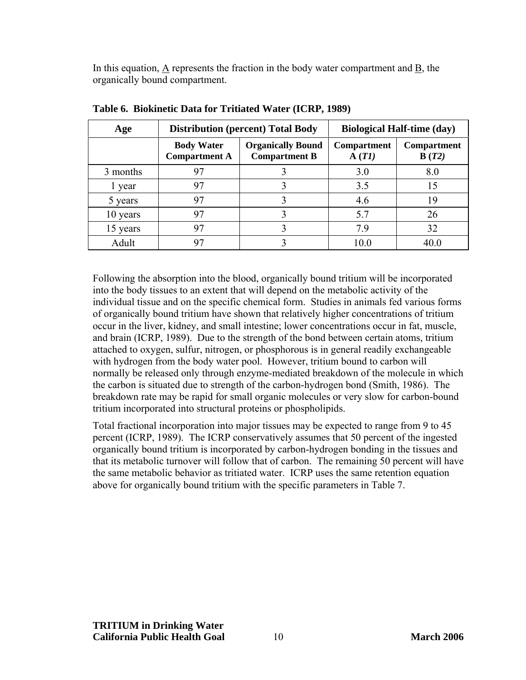In this equation, A represents the fraction in the body water compartment and B, the organically bound compartment.

| Age      |                                           | <b>Distribution (percent) Total Body</b>         |                             | <b>Biological Half-time (day)</b> |
|----------|-------------------------------------------|--------------------------------------------------|-----------------------------|-----------------------------------|
|          | <b>Body Water</b><br><b>Compartment A</b> | <b>Organically Bound</b><br><b>Compartment B</b> | <b>Compartment</b><br>A(TI) | <b>Compartment</b><br>B(T2)       |
| 3 months | 97                                        |                                                  | 3.0                         | 8.0                               |
| l year   | 97                                        |                                                  | 3.5                         | 15                                |
| 5 years  | 97                                        |                                                  | 4.6                         | 19                                |
| 10 years | 97                                        |                                                  | 5.7                         | 26                                |
| 15 years | 97                                        |                                                  | 79                          | 32                                |
| Adult    |                                           |                                                  | 10 0                        |                                   |

**Table 6. Biokinetic Data for Tritiated Water (ICRP, 1989)** 

Following the absorption into the blood, organically bound tritium will be incorporated into the body tissues to an extent that will depend on the metabolic activity of the individual tissue and on the specific chemical form. Studies in animals fed various forms of organically bound tritium have shown that relatively higher concentrations of tritium occur in the liver, kidney, and small intestine; lower concentrations occur in fat, muscle, and brain (ICRP, 1989). Due to the strength of the bond between certain atoms, tritium attached to oxygen, sulfur, nitrogen, or phosphorous is in general readily exchangeable with hydrogen from the body water pool. However, tritium bound to carbon will normally be released only through enzyme-mediated breakdown of the molecule in which the carbon is situated due to strength of the carbon-hydrogen bond (Smith, 1986). The breakdown rate may be rapid for small organic molecules or very slow for carbon-bound tritium incorporated into structural proteins or phospholipids.

Total fractional incorporation into major tissues may be expected to range from 9 to 45 percent (ICRP, 1989). The ICRP conservatively assumes that 50 percent of the ingested organically bound tritium is incorporated by carbon-hydrogen bonding in the tissues and that its metabolic turnover will follow that of carbon. The remaining 50 percent will have the same metabolic behavior as tritiated water. ICRP uses the same retention equation above for organically bound tritium with the specific parameters in Table 7.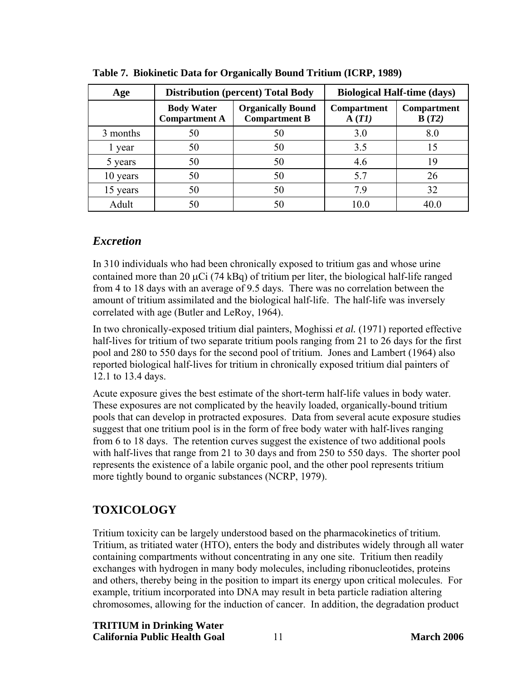| Age      |                                           | <b>Distribution (percent) Total Body</b>         |                             | <b>Biological Half-time (days)</b> |
|----------|-------------------------------------------|--------------------------------------------------|-----------------------------|------------------------------------|
|          | <b>Body Water</b><br><b>Compartment A</b> | <b>Organically Bound</b><br><b>Compartment B</b> | <b>Compartment</b><br>A(TI) | <b>Compartment</b><br>B(T2)        |
| 3 months | 50                                        | 50                                               | 3.0                         | 8.0                                |
| 1 year   | 50                                        | 50                                               | 3.5                         | 15                                 |
| 5 years  | 50                                        | 50                                               | 4.6                         | 19                                 |
| 10 years | 50                                        | 50                                               | 5.7                         | 26                                 |
| 15 years | 50                                        | 50                                               | 79                          | 32                                 |
| Adult    | 50                                        |                                                  | 10 0                        |                                    |

<span id="page-17-0"></span>**Table 7. Biokinetic Data for Organically Bound Tritium (ICRP, 1989)** 

# *Excretion*

In 310 individuals who had been chronically exposed to tritium gas and whose urine contained more than 20 μCi (74 kBq) of tritium per liter, the biological half-life ranged from 4 to 18 days with an average of 9.5 days. There was no correlation between the amount of tritium assimilated and the biological half-life. The half-life was inversely correlated with age (Butler and LeRoy, 1964).

In two chronically-exposed tritium dial painters, Moghissi *et al.* (1971) reported effective half-lives for tritium of two separate tritium pools ranging from 21 to 26 days for the first pool and 280 to 550 days for the second pool of tritium. Jones and Lambert (1964) also reported biological half-lives for tritium in chronically exposed tritium dial painters of 12.1 to 13.4 days.

Acute exposure gives the best estimate of the short-term half-life values in body water. These exposures are not complicated by the heavily loaded, organically-bound tritium pools that can develop in protracted exposures. Data from several acute exposure studies suggest that one tritium pool is in the form of free body water with half-lives ranging from 6 to 18 days. The retention curves suggest the existence of two additional pools with half-lives that range from 21 to 30 days and from 250 to 550 days. The shorter pool represents the existence of a labile organic pool, and the other pool represents tritium more tightly bound to organic substances (NCRP, 1979).

# **TOXICOLOGY**

Tritium toxicity can be largely understood based on the pharmacokinetics of tritium. Tritium, as tritiated water (HTO), enters the body and distributes widely through all water containing compartments without concentrating in any one site. Tritium then readily exchanges with hydrogen in many body molecules, including ribonucleotides, proteins and others, thereby being in the position to impart its energy upon critical molecules. For example, tritium incorporated into DNA may result in beta particle radiation altering chromosomes, allowing for the induction of cancer. In addition, the degradation product

**TRITIUM in Drinking Water California Public Health Goal** 11 **March 2006**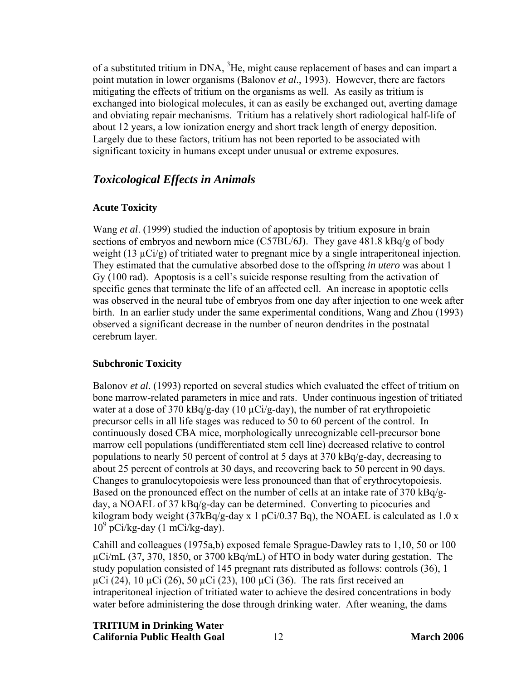<span id="page-18-0"></span>of a substituted tritium in DNA,  ${}^{3}$ He, might cause replacement of bases and can impart a point mutation in lower organisms (Balonov *et al*., 1993). However, there are factors mitigating the effects of tritium on the organisms as well. As easily as tritium is exchanged into biological molecules, it can as easily be exchanged out, averting damage and obviating repair mechanisms. Tritium has a relatively short radiological half-life of about 12 years, a low ionization energy and short track length of energy deposition. Largely due to these factors, tritium has not been reported to be associated with significant toxicity in humans except under unusual or extreme exposures.

## *Toxicological Effects in Animals*

#### **Acute Toxicity**

Wang *et al*. (1999) studied the induction of apoptosis by tritium exposure in brain sections of embryos and newborn mice (C57BL/6J). They gave 481.8 kBq/g of body weight (13  $\mu$ Ci/g) of tritiated water to pregnant mice by a single intraperitoneal injection. They estimated that the cumulative absorbed dose to the offspring *in utero* was about 1 Gy (100 rad). Apoptosis is a cell's suicide response resulting from the activation of specific genes that terminate the life of an affected cell. An increase in apoptotic cells was observed in the neural tube of embryos from one day after injection to one week after birth. In an earlier study under the same experimental conditions, Wang and Zhou (1993) observed a significant decrease in the number of neuron dendrites in the postnatal cerebrum layer.

#### **Subchronic Toxicity**

Balonov *et al*. (1993) reported on several studies which evaluated the effect of tritium on bone marrow-related parameters in mice and rats. Under continuous ingestion of tritiated water at a dose of 370 kBq/g-day (10  $\mu$ Ci/g-day), the number of rat erythropoietic precursor cells in all life stages was reduced to 50 to 60 percent of the control. In continuously dosed CBA mice, morphologically unrecognizable cell-precursor bone marrow cell populations (undifferentiated stem cell line) decreased relative to control populations to nearly 50 percent of control at 5 days at 370 kBq/g-day, decreasing to about 25 percent of controls at 30 days, and recovering back to 50 percent in 90 days. Changes to granulocytopoiesis were less pronounced than that of erythrocytopoiesis. Based on the pronounced effect on the number of cells at an intake rate of 370 kBq/gday, a NOAEL of 37 kBq/g-day can be determined. Converting to picocuries and kilogram body weight  $(37kBq/g-day x 1 pCi/0.37 Bq)$ , the NOAEL is calculated as 1.0 x 109 pCi/kg-day (1 mCi/kg-day).

Cahill and colleagues (1975a,b) exposed female Sprague-Dawley rats to 1,10, 50 or 100 µCi/mL (37, 370, 1850, or 3700 kBq/mL) of HTO in body water during gestation. The study population consisted of 145 pregnant rats distributed as follows: controls (36), 1  $\mu$ Ci (24), 10  $\mu$ Ci (26), 50  $\mu$ Ci (23), 100  $\mu$ Ci (36). The rats first received an intraperitoneal injection of tritiated water to achieve the desired concentrations in body water before administering the dose through drinking water. After weaning, the dams

#### **TRITIUM in Drinking Water**

**California Public Health Goal** 12 **March 2006**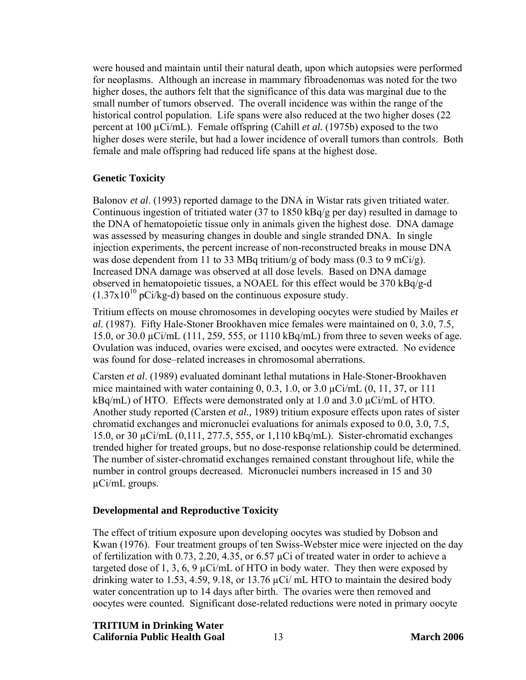<span id="page-19-0"></span>were housed and maintain until their natural death, upon which autopsies were performed for neoplasms. Although an increase in mammary fibroadenomas was noted for the two higher doses, the authors felt that the significance of this data was marginal due to the small number of tumors observed. The overall incidence was within the range of the historical control population. Life spans were also reduced at the two higher doses (22 percent at 100 µCi/mL). Female offspring (Cahill *et al.* (1975b) exposed to the two higher doses were sterile, but had a lower incidence of overall tumors than controls. Both female and male offspring had reduced life spans at the highest dose.

#### **Genetic Toxicity**

Balonov *et al*. (1993) reported damage to the DNA in Wistar rats given tritiated water. Continuous ingestion of tritiated water (37 to 1850 kBq/g per day) resulted in damage to the DNA of hematopoietic tissue only in animals given the highest dose. DNA damage was assessed by measuring changes in double and single stranded DNA. In single injection experiments, the percent increase of non-reconstructed breaks in mouse DNA was dose dependent from 11 to 33 MBq tritium/g of body mass (0.3 to 9 mCi/g). Increased DNA damage was observed at all dose levels. Based on DNA damage observed in hematopoietic tissues, a NOAEL for this effect would be 370 kBq/g-d  $(1.37 \times 10^{10} \text{ pCi/kg-d})$  based on the continuous exposure study.

Tritium effects on mouse chromosomes in developing oocytes were studied by Mailes *et al.* (1987). Fifty Hale-Stoner Brookhaven mice females were maintained on 0, 3.0, 7.5, 15.0, or 30.0 µCi/mL (111, 259, 555, or 1110 kBq/mL) from three to seven weeks of age. Ovulation was induced, ovaries were excised, and oocytes were extracted. No evidence was found for dose–related increases in chromosomal aberrations.

Carsten *et al*. (1989) evaluated dominant lethal mutations in Hale-Stoner-Brookhaven mice maintained with water containing  $0, 0.3, 1.0, \text{ or } 3.0 \mu\text{Ci/mL}$  (0, 11, 37, or 111  $kBq/mL$ ) of HTO. Effects were demonstrated only at 1.0 and 3.0  $\mu Ci/mL$  of HTO. Another study reported (Carsten *et al.,* 1989) tritium exposure effects upon rates of sister chromatid exchanges and micronuclei evaluations for animals exposed to 0.0, 3.0, 7.5, 15.0, or 30 µCi/mL (0,111, 277.5, 555, or 1,110 kBq/mL). Sister-chromatid exchanges trended higher for treated groups, but no dose-response relationship could be determined. The number of sister-chromatid exchanges remained constant throughout life, while the number in control groups decreased. Micronuclei numbers increased in 15 and 30 µCi/mL groups.

#### **Developmental and Reproductive Toxicity**

The effect of tritium exposure upon developing oocytes was studied by Dobson and Kwan (1976). Four treatment groups of ten Swiss-Webster mice were injected on the day of fertilization with 0.73, 2.20, 4.35, or 6.57 µCi of treated water in order to achieve a targeted dose of 1, 3, 6, 9  $\mu$ Ci/mL of HTO in body water. They then were exposed by drinking water to 1.53, 4.59, 9.18, or 13.76  $\mu$ Ci/ mL HTO to maintain the desired body water concentration up to 14 days after birth. The ovaries were then removed and oocytes were counted. Significant dose-related reductions were noted in primary oocyte

# **TRITIUM in Drinking Water**

**California Public Health Goal** 13 **March 2006**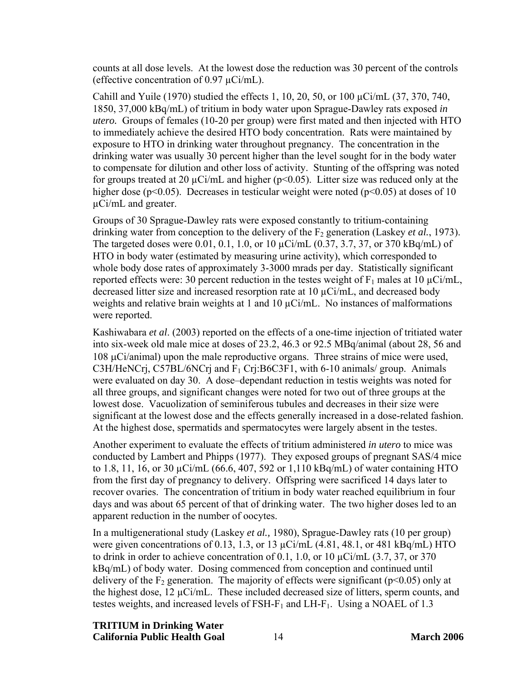counts at all dose levels. At the lowest dose the reduction was 30 percent of the controls (effective concentration of  $0.97 \mu$ Ci/mL).

Cahill and Yuile (1970) studied the effects 1, 10, 20, 50, or 100 µCi/mL (37, 370, 740, 1850, 37,000 kBq/mL) of tritium in body water upon Sprague-Dawley rats exposed *in utero.* Groups of females (10-20 per group) were first mated and then injected with HTO to immediately achieve the desired HTO body concentration. Rats were maintained by exposure to HTO in drinking water throughout pregnancy. The concentration in the drinking water was usually 30 percent higher than the level sought for in the body water to compensate for dilution and other loss of activity. Stunting of the offspring was noted for groups treated at 20  $\mu$ Ci/mL and higher ( $p$ <0.05). Litter size was reduced only at the higher dose ( $p<0.05$ ). Decreases in testicular weight were noted ( $p<0.05$ ) at doses of 10 µCi/mL and greater.

Groups of 30 Sprague-Dawley rats were exposed constantly to tritium-containing drinking water from conception to the delivery of the  $F<sub>2</sub>$  generation (Laskey *et al.*, 1973). The targeted doses were 0.01, 0.1, 1.0, or 10  $\mu$ Ci/mL (0.37, 3.7, 37, or 370 kBq/mL) of HTO in body water (estimated by measuring urine activity), which corresponded to whole body dose rates of approximately 3-3000 mrads per day. Statistically significant reported effects were: 30 percent reduction in the testes weight of  $F_1$  males at 10  $\mu$ Ci/mL, decreased litter size and increased resorption rate at  $10 \mu \text{Ci/mL}$ , and decreased body weights and relative brain weights at 1 and 10  $\mu$ Ci/mL. No instances of malformations were reported.

Kashiwabara *et al*. (2003) reported on the effects of a one-time injection of tritiated water into six-week old male mice at doses of 23.2, 46.3 or 92.5 MBq/animal (about 28, 56 and 108 μCi/animal) upon the male reproductive organs. Three strains of mice were used, C3H/HeNCrj, C57BL/6NCrj and  $F_1$  Crj:B6C3F1, with 6-10 animals/ group. Animals were evaluated on day 30. A dose–dependant reduction in testis weights was noted for all three groups, and significant changes were noted for two out of three groups at the lowest dose. Vacuolization of seminiferous tubules and decreases in their size were significant at the lowest dose and the effects generally increased in a dose-related fashion. At the highest dose, spermatids and spermatocytes were largely absent in the testes.

Another experiment to evaluate the effects of tritium administered *in utero* to mice was conducted by Lambert and Phipps (1977). They exposed groups of pregnant SAS/4 mice to 1.8, 11, 16, or 30 µCi/mL (66.6, 407, 592 or 1,110 kBq/mL) of water containing HTO from the first day of pregnancy to delivery. Offspring were sacrificed 14 days later to recover ovaries. The concentration of tritium in body water reached equilibrium in four days and was about 65 percent of that of drinking water. The two higher doses led to an apparent reduction in the number of oocytes.

In a multigenerational study (Laskey *et al.,* 1980), Sprague-Dawley rats (10 per group) were given concentrations of 0.13, 1.3, or 13  $\mu$ Ci/mL (4.81, 48.1, or 481 kBq/mL) HTO to drink in order to achieve concentration of 0.1, 1.0, or 10  $\mu$ Ci/mL (3.7, 37, or 370) kBq/mL) of body water. Dosing commenced from conception and continued until delivery of the  $F_2$  generation. The majority of effects were significant ( $p<0.05$ ) only at the highest dose,  $12 \mu \text{Ci/mL}$ . These included decreased size of litters, sperm counts, and testes weights, and increased levels of FSH- $F_1$  and LH- $F_1$ . Using a NOAEL of 1.3

**TRITIUM in Drinking Water** 

**California Public Health Goal** 14 **March 2006**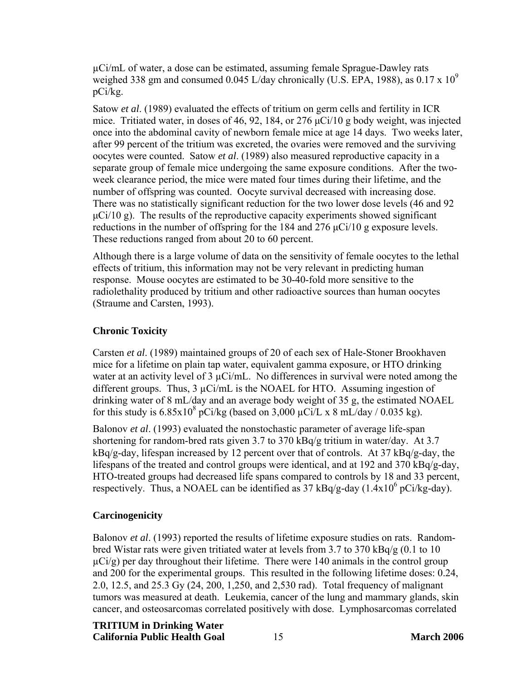<span id="page-21-0"></span>µCi/mL of water, a dose can be estimated, assuming female Sprague-Dawley rats weighed 338 gm and consumed 0.045 L/day chronically (U.S. EPA, 1988), as  $0.17 \times 10^9$ pCi/kg.

Satow *et al*. (1989) evaluated the effects of tritium on germ cells and fertility in ICR mice. Tritiated water, in doses of 46, 92, 184, or 276 μCi/10 g body weight, was injected once into the abdominal cavity of newborn female mice at age 14 days. Two weeks later, after 99 percent of the tritium was excreted, the ovaries were removed and the surviving oocytes were counted. Satow *et al*. (1989) also measured reproductive capacity in a separate group of female mice undergoing the same exposure conditions. After the twoweek clearance period, the mice were mated four times during their lifetime, and the number of offspring was counted. Oocyte survival decreased with increasing dose. There was no statistically significant reduction for the two lower dose levels (46 and 92  $\mu$ Ci/10 g). The results of the reproductive capacity experiments showed significant reductions in the number of offspring for the 184 and 276 μCi/10 g exposure levels. These reductions ranged from about 20 to 60 percent.

Although there is a large volume of data on the sensitivity of female oocytes to the lethal effects of tritium, this information may not be very relevant in predicting human response. Mouse oocytes are estimated to be 30-40-fold more sensitive to the radiolethality produced by tritium and other radioactive sources than human oocytes (Straume and Carsten, 1993).

#### **Chronic Toxicity**

Carsten *et al*. (1989) maintained groups of 20 of each sex of Hale-Stoner Brookhaven mice for a lifetime on plain tap water, equivalent gamma exposure, or HTO drinking water at an activity level of  $3 \mu \text{Ci/mL}$ . No differences in survival were noted among the different groups. Thus, 3 µCi/mL is the NOAEL for HTO. Assuming ingestion of drinking water of 8 mL/day and an average body weight of 35 g, the estimated NOAEL for this study is  $6.85 \times 10^8$  pCi/kg (based on 3,000  $\mu$ Ci/L x 8 mL/day / 0.035 kg).

Balonov *et al*. (1993) evaluated the nonstochastic parameter of average life-span shortening for random-bred rats given 3.7 to 370 kBq/g tritium in water/day. At 3.7 kBq/g-day, lifespan increased by 12 percent over that of controls. At 37 kBq/g-day, the lifespans of the treated and control groups were identical, and at 192 and 370 kBq/g-day, HTO-treated groups had decreased life spans compared to controls by 18 and 33 percent, respectively. Thus, a NOAEL can be identified as  $37 \text{ kBq/g-day}$  (1.4x10<sup>6</sup> pCi/kg-day).

#### **Carcinogenicity**

Balonov *et al*. (1993) reported the results of lifetime exposure studies on rats. Randombred Wistar rats were given tritiated water at levels from 3.7 to 370 kBq/g (0.1 to 10  $\mu$ Ci/g) per day throughout their lifetime. There were 140 animals in the control group and 200 for the experimental groups. This resulted in the following lifetime doses: 0.24, 2.0, 12.5, and 25.3 Gy (24, 200, 1,250, and 2,530 rad). Total frequency of malignant tumors was measured at death. Leukemia, cancer of the lung and mammary glands, skin cancer, and osteosarcomas correlated positively with dose. Lymphosarcomas correlated

#### **TRITIUM in Drinking Water**

**California Public Health Goal** 15 **March 2006**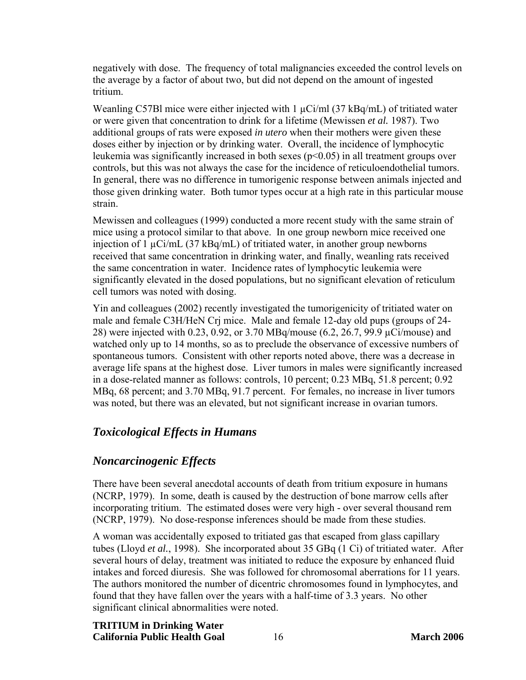<span id="page-22-0"></span>negatively with dose. The frequency of total malignancies exceeded the control levels on the average by a factor of about two, but did not depend on the amount of ingested tritium.

Weanling C57Bl mice were either injected with  $1 \mu$ Ci/ml (37 kBq/mL) of tritiated water or were given that concentration to drink for a lifetime (Mewissen *et al.* 1987). Two additional groups of rats were exposed *in utero* when their mothers were given these doses either by injection or by drinking water. Overall, the incidence of lymphocytic leukemia was significantly increased in both sexes (p<0.05) in all treatment groups over controls, but this was not always the case for the incidence of reticuloendothelial tumors. In general, there was no difference in tumorigenic response between animals injected and those given drinking water. Both tumor types occur at a high rate in this particular mouse strain.

Mewissen and colleagues (1999) conducted a more recent study with the same strain of mice using a protocol similar to that above. In one group newborn mice received one injection of 1  $\mu$ Ci/mL (37 kBq/mL) of tritiated water, in another group newborns received that same concentration in drinking water, and finally, weanling rats received the same concentration in water. Incidence rates of lymphocytic leukemia were significantly elevated in the dosed populations, but no significant elevation of reticulum cell tumors was noted with dosing.

Yin and colleagues (2002) recently investigated the tumorigenicity of tritiated water on male and female C3H/HeN Crj mice. Male and female 12-day old pups (groups of 24- 28) were injected with 0.23, 0.92, or 3.70 MBq/mouse (6.2, 26.7, 99.9 µCi/mouse) and watched only up to 14 months, so as to preclude the observance of excessive numbers of spontaneous tumors. Consistent with other reports noted above, there was a decrease in average life spans at the highest dose. Liver tumors in males were significantly increased in a dose-related manner as follows: controls, 10 percent; 0.23 MBq, 51.8 percent; 0.92 MBq, 68 percent; and 3.70 MBq, 91.7 percent. For females, no increase in liver tumors was noted, but there was an elevated, but not significant increase in ovarian tumors.

# *Toxicological Effects in Humans*

## *Noncarcinogenic Effects*

There have been several anecdotal accounts of death from tritium exposure in humans (NCRP, 1979). In some, death is caused by the destruction of bone marrow cells after incorporating tritium. The estimated doses were very high - over several thousand rem (NCRP, 1979). No dose-response inferences should be made from these studies.

A woman was accidentally exposed to tritiated gas that escaped from glass capillary tubes (Lloyd *et al.*, 1998). She incorporated about 35 GBq (1 Ci) of tritiated water. After several hours of delay, treatment was initiated to reduce the exposure by enhanced fluid intakes and forced diuresis. She was followed for chromosomal aberrations for 11 years. The authors monitored the number of dicentric chromosomes found in lymphocytes, and found that they have fallen over the years with a half-time of 3.3 years. No other significant clinical abnormalities were noted.

#### **TRITIUM in Drinking Water California Public Health Goal** 16 **March 2006**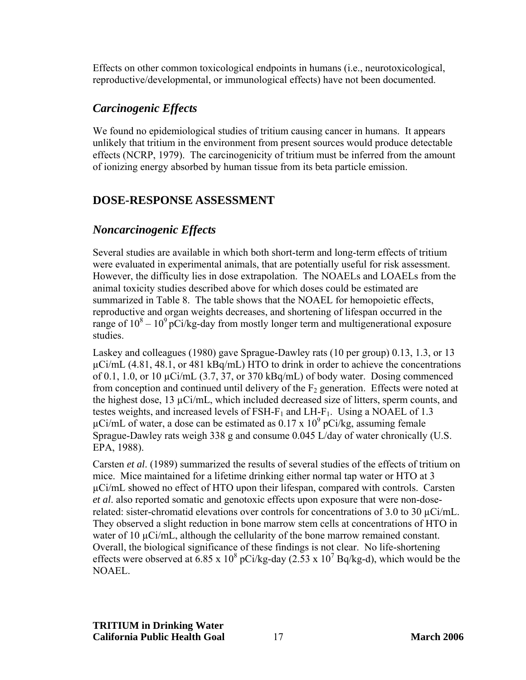<span id="page-23-0"></span>Effects on other common toxicological endpoints in humans (i.e., neurotoxicological, reproductive/developmental, or immunological effects) have not been documented.

# *Carcinogenic Effects*

We found no epidemiological studies of tritium causing cancer in humans. It appears unlikely that tritium in the environment from present sources would produce detectable effects (NCRP, 1979). The carcinogenicity of tritium must be inferred from the amount of ionizing energy absorbed by human tissue from its beta particle emission.

# **DOSE-RESPONSE ASSESSMENT**

# *Noncarcinogenic Effects*

Several studies are available in which both short-term and long-term effects of tritium were evaluated in experimental animals, that are potentially useful for risk assessment. However, the difficulty lies in dose extrapolation. The NOAELs and LOAELs from the animal toxicity studies described above for which doses could be estimated are summarized in Table 8. The table shows that the NOAEL for hemopoietic effects, reproductive and organ weights decreases, and shortening of lifespan occurred in the range of  $10^8 - 10^9$  pCi/kg-day from mostly longer term and multigenerational exposure studies.

Laskey and colleagues (1980) gave Sprague-Dawley rats (10 per group) 0.13, 1.3, or 13  $\mu$ Ci/mL (4.81, 48.1, or 481 kBq/mL) HTO to drink in order to achieve the concentrations of 0.1, 1.0, or 10  $\mu$ Ci/mL (3.7, 37, or 370 kBq/mL) of body water. Dosing commenced from conception and continued until delivery of the  $F_2$  generation. Effects were noted at the highest dose,  $13 \mu \text{Ci/mL}$ , which included decreased size of litters, sperm counts, and testes weights, and increased levels of  $FSH-F_1$  and  $LH-F_1$ . Using a NOAEL of 1.3  $\mu$ Ci/mL of water, a dose can be estimated as 0.17 x 10<sup>9</sup> pCi/kg, assuming female Sprague-Dawley rats weigh 338 g and consume 0.045 L/day of water chronically (U.S. EPA, 1988).

Carsten *et al*. (1989) summarized the results of several studies of the effects of tritium on mice. Mice maintained for a lifetime drinking either normal tap water or HTO at 3 µCi/mL showed no effect of HTO upon their lifespan, compared with controls. Carsten *et al*. also reported somatic and genotoxic effects upon exposure that were non-doserelated: sister-chromatid elevations over controls for concentrations of 3.0 to 30  $\mu$ Ci/mL. They observed a slight reduction in bone marrow stem cells at concentrations of HTO in water of 10  $\mu$ Ci/mL, although the cellularity of the bone marrow remained constant. Overall, the biological significance of these findings is not clear. No life-shortening effects were observed at 6.85 x  $10^8$  pCi/kg-day (2.53 x  $10^7$  Bq/kg-d), which would be the NOAEL.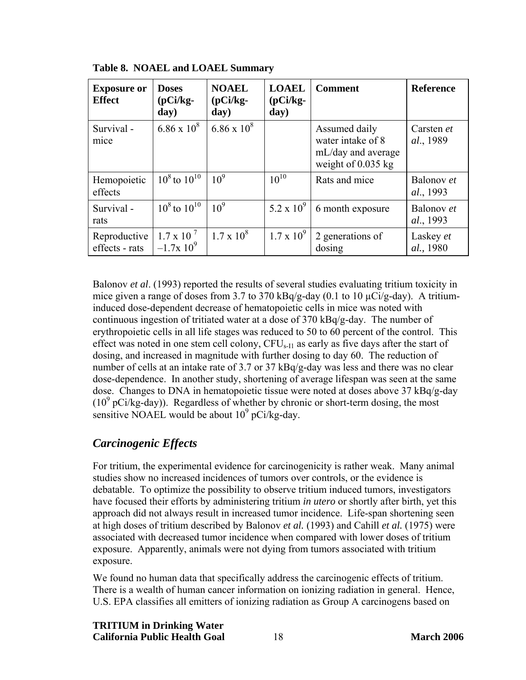| <b>Exposure or</b><br><b>Effect</b> | <b>Doses</b><br>$(pCi/kg-$<br>day)    | <b>NOAEL</b><br>$(pCi/kg-$<br>day) | <b>LOAEL</b><br>$(pCi/kg-$<br>day) | <b>Comment</b>                                                                   | <b>Reference</b>        |
|-------------------------------------|---------------------------------------|------------------------------------|------------------------------------|----------------------------------------------------------------------------------|-------------------------|
| Survival-<br>mice                   | $6.86 \times 10^8$                    | $6.86 \times 10^8$                 |                                    | Assumed daily<br>water intake of 8<br>mL/day and average<br>weight of $0.035$ kg | Carsten et<br>al., 1989 |
| Hemopoietic<br>effects              | $10^8$ to $10^{10}$                   | 10 <sup>9</sup>                    | $10^{10}$                          | Rats and mice                                                                    | Balonov et<br>al., 1993 |
| Survival -<br>rats                  | $10^8$ to $10^{10}$                   | 10 <sup>9</sup>                    | 5.2 x $10^9$                       | 6 month exposure                                                                 | Balonov et<br>al., 1993 |
| Reproductive<br>effects - rats      | $1.7 \times 10^{-7}$<br>$-1.7x10^{9}$ | $1.7 \times 10^8$                  | $1.7 \times 10^{9}$                | 2 generations of<br>dosing                                                       | Laskey et<br>al., 1980  |

<span id="page-24-0"></span>**Table 8. NOAEL and LOAEL Summary** 

Balonov *et al*. (1993) reported the results of several studies evaluating tritium toxicity in mice given a range of doses from 3.7 to 370 kBq/g-day (0.1 to 10  $\mu$ Ci/g-day). A tritiuminduced dose-dependent decrease of hematopoietic cells in mice was noted with continuous ingestion of tritiated water at a dose of 370 kBq/g-day. The number of erythropoietic cells in all life stages was reduced to 50 to 60 percent of the control. This effect was noted in one stem cell colony,  $CFU<sub>s-11</sub>$  as early as five days after the start of dosing, and increased in magnitude with further dosing to day 60. The reduction of number of cells at an intake rate of 3.7 or 37 kBq/g-day was less and there was no clear dose-dependence. In another study, shortening of average lifespan was seen at the same dose. Changes to DNA in hematopoietic tissue were noted at doses above 37 kBq/g-day  $(10<sup>9</sup> pCi/kg-day)$ ). Regardless of whether by chronic or short-term dosing, the most sensitive NOAEL would be about  $10^9$  pCi/kg-day.

# *Carcinogenic Effects*

For tritium, the experimental evidence for carcinogenicity is rather weak. Many animal studies show no increased incidences of tumors over controls, or the evidence is debatable. To optimize the possibility to observe tritium induced tumors, investigators have focused their efforts by administering tritium *in utero* or shortly after birth, yet this approach did not always result in increased tumor incidence. Life-span shortening seen at high doses of tritium described by Balonov *et al.* (1993) and Cahill *et al.* (1975) were associated with decreased tumor incidence when compared with lower doses of tritium exposure. Apparently, animals were not dying from tumors associated with tritium exposure.

We found no human data that specifically address the carcinogenic effects of tritium. There is a wealth of human cancer information on ionizing radiation in general. Hence, U.S. EPA classifies all emitters of ionizing radiation as Group A carcinogens based on

**TRITIUM in Drinking Water California Public Health Goal** 18 **March 2006**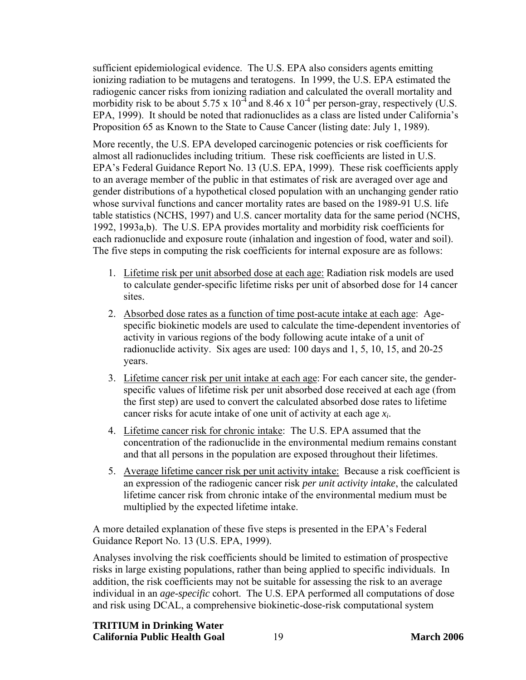sufficient epidemiological evidence. The U.S. EPA also considers agents emitting ionizing radiation to be mutagens and teratogens. In 1999, the U.S. EPA estimated the radiogenic cancer risks from ionizing radiation and calculated the overall mortality and morbidity risk to be about 5.75 x  $10^{-4}$  and 8.46 x  $10^{-4}$  per person-gray, respectively (U.S. EPA, 1999). It should be noted that radionuclides as a class are listed under California's Proposition 65 as Known to the State to Cause Cancer (listing date: July 1, 1989).

More recently, the U.S. EPA developed carcinogenic potencies or risk coefficients for almost all radionuclides including tritium. These risk coefficients are listed in U.S. EPA's Federal Guidance Report No. 13 (U.S. EPA, 1999). These risk coefficients apply to an average member of the public in that estimates of risk are averaged over age and gender distributions of a hypothetical closed population with an unchanging gender ratio whose survival functions and cancer mortality rates are based on the 1989-91 U.S. life table statistics (NCHS, 1997) and U.S. cancer mortality data for the same period (NCHS, 1992, 1993a,b). The U.S. EPA provides mortality and morbidity risk coefficients for each radionuclide and exposure route (inhalation and ingestion of food, water and soil). The five steps in computing the risk coefficients for internal exposure are as follows:

- 1. Lifetime risk per unit absorbed dose at each age: Radiation risk models are used to calculate gender-specific lifetime risks per unit of absorbed dose for 14 cancer sites.
- 2. Absorbed dose rates as a function of time post-acute intake at each age: Agespecific biokinetic models are used to calculate the time-dependent inventories of activity in various regions of the body following acute intake of a unit of radionuclide activity. Six ages are used: 100 days and 1, 5, 10, 15, and 20-25 years.
- 3. Lifetime cancer risk per unit intake at each age: For each cancer site, the genderspecific values of lifetime risk per unit absorbed dose received at each age (from the first step) are used to convert the calculated absorbed dose rates to lifetime cancer risks for acute intake of one unit of activity at each age *xi*.
- 4. Lifetime cancer risk for chronic intake: The U.S. EPA assumed that the concentration of the radionuclide in the environmental medium remains constant and that all persons in the population are exposed throughout their lifetimes.
- 5. Average lifetime cancer risk per unit activity intake: Because a risk coefficient is an expression of the radiogenic cancer risk *per unit activity intake*, the calculated lifetime cancer risk from chronic intake of the environmental medium must be multiplied by the expected lifetime intake.

A more detailed explanation of these five steps is presented in the EPA's Federal Guidance Report No. 13 (U.S. EPA, 1999).

Analyses involving the risk coefficients should be limited to estimation of prospective risks in large existing populations, rather than being applied to specific individuals. In addition, the risk coefficients may not be suitable for assessing the risk to an average individual in an *age-specific* cohort. The U.S. EPA performed all computations of dose and risk using DCAL, a comprehensive biokinetic-dose-risk computational system

#### **TRITIUM in Drinking Water California Public Health Goal** 19 **March 2006**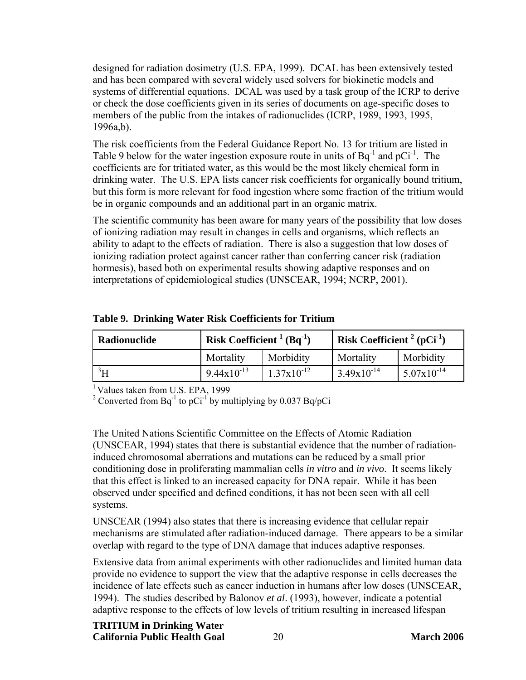designed for radiation dosimetry (U.S. EPA, 1999). DCAL has been extensively tested and has been compared with several widely used solvers for biokinetic models and systems of differential equations. DCAL was used by a task group of the ICRP to derive or check the dose coefficients given in its series of documents on age-specific doses to members of the public from the intakes of radionuclides (ICRP, 1989, 1993, 1995, 1996a,b).

The risk coefficients from the Federal Guidance Report No. 13 for tritium are listed in Table 9 below for the water ingestion exposure route in units of  $Bq^{-1}$  and  $pCi^{-1}$ . The coefficients are for tritiated water, as this would be the most likely chemical form in drinking water. The U.S. EPA lists cancer risk coefficients for organically bound tritium, but this form is more relevant for food ingestion where some fraction of the tritium would be in organic compounds and an additional part in an organic matrix.

The scientific community has been aware for many years of the possibility that low doses of ionizing radiation may result in changes in cells and organisms, which reflects an ability to adapt to the effects of radiation. There is also a suggestion that low doses of ionizing radiation protect against cancer rather than conferring cancer risk (radiation hormesis), based both on experimental results showing adaptive responses and on interpretations of epidemiological studies (UNSCEAR, 1994; NCRP, 2001).

| Radionuclide | <b>Risk Coefficient</b> $^{1}$ (Bq <sup>-1</sup> ) |                        | <sup>'</sup> Risk Coefficient <sup>2</sup> (pCi <sup>-1</sup> ) |                        |
|--------------|----------------------------------------------------|------------------------|-----------------------------------------------------------------|------------------------|
|              | Mortality                                          | Morbidity              | Mortality                                                       | Morbidity              |
| 211          | $9.44 \times 10^{-13}$                             | $1.37 \times 10^{-12}$ | $3.49x10^{-14}$                                                 | $5.07 \times 10^{-14}$ |

**Table 9. Drinking Water Risk Coefficients for Tritium** 

<sup>1</sup> Values taken from U.S. EPA, 1999

<sup>2</sup> Converted from Bq<sup>-1</sup> to pCi<sup>-1</sup> by multiplying by 0.037 Bq/pCi

The United Nations Scientific Committee on the Effects of Atomic Radiation (UNSCEAR, 1994) states that there is substantial evidence that the number of radiationinduced chromosomal aberrations and mutations can be reduced by a small prior conditioning dose in proliferating mammalian cells *in vitro* and *in vivo*. It seems likely that this effect is linked to an increased capacity for DNA repair. While it has been observed under specified and defined conditions, it has not been seen with all cell systems.

UNSCEAR (1994) also states that there is increasing evidence that cellular repair mechanisms are stimulated after radiation-induced damage. There appears to be a similar overlap with regard to the type of DNA damage that induces adaptive responses.

Extensive data from animal experiments with other radionuclides and limited human data provide no evidence to support the view that the adaptive response in cells decreases the incidence of late effects such as cancer induction in humans after low doses (UNSCEAR, 1994). The studies described by Balonov *et al*. (1993), however, indicate a potential adaptive response to the effects of low levels of tritium resulting in increased lifespan

## **TRITIUM in Drinking Water**

**California Public Health Goal** 20 **March 2006**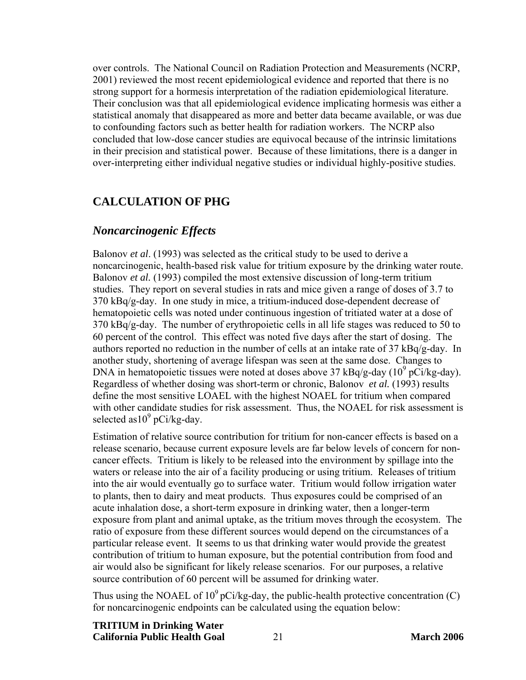<span id="page-27-0"></span>over controls. The National Council on Radiation Protection and Measurements (NCRP, 2001) reviewed the most recent epidemiological evidence and reported that there is no strong support for a hormesis interpretation of the radiation epidemiological literature. Their conclusion was that all epidemiological evidence implicating hormesis was either a statistical anomaly that disappeared as more and better data became available, or was due to confounding factors such as better health for radiation workers. The NCRP also concluded that low-dose cancer studies are equivocal because of the intrinsic limitations in their precision and statistical power. Because of these limitations, there is a danger in over-interpreting either individual negative studies or individual highly-positive studies.

#### **CALCULATION OF PHG**

#### *Noncarcinogenic Effects*

Balonov *et al*. (1993) was selected as the critical study to be used to derive a noncarcinogenic, health-based risk value for tritium exposure by the drinking water route. Balonov *et al.* (1993) compiled the most extensive discussion of long-term tritium studies. They report on several studies in rats and mice given a range of doses of 3.7 to  $370 \text{ kBg/g-day}$ . In one study in mice, a tritium-induced dose-dependent decrease of hematopoietic cells was noted under continuous ingestion of tritiated water at a dose of 370 kBq/g-day. The number of erythropoietic cells in all life stages was reduced to 50 to 60 percent of the control. This effect was noted five days after the start of dosing. The authors reported no reduction in the number of cells at an intake rate of 37 kBq/g-day. In another study, shortening of average lifespan was seen at the same dose. Changes to DNA in hematopoietic tissues were noted at doses above 37 kBq/g-day ( $10^9$  pCi/kg-day). Regardless of whether dosing was short-term or chronic, Balonov *et al.* (1993) results define the most sensitive LOAEL with the highest NOAEL for tritium when compared with other candidate studies for risk assessment. Thus, the NOAEL for risk assessment is selected as  $10^9$  pCi/kg-day.

Estimation of relative source contribution for tritium for non-cancer effects is based on a release scenario, because current exposure levels are far below levels of concern for noncancer effects. Tritium is likely to be released into the environment by spillage into the waters or release into the air of a facility producing or using tritium. Releases of tritium into the air would eventually go to surface water. Tritium would follow irrigation water to plants, then to dairy and meat products. Thus exposures could be comprised of an acute inhalation dose, a short-term exposure in drinking water, then a longer-term exposure from plant and animal uptake, as the tritium moves through the ecosystem. The ratio of exposure from these different sources would depend on the circumstances of a particular release event. It seems to us that drinking water would provide the greatest contribution of tritium to human exposure, but the potential contribution from food and air would also be significant for likely release scenarios. For our purposes, a relative source contribution of 60 percent will be assumed for drinking water.

Thus using the NOAEL of  $10^9$  pCi/kg-day, the public-health protective concentration (C) for noncarcinogenic endpoints can be calculated using the equation below:

**TRITIUM in Drinking Water California Public Health Goal** 21 **March 2006**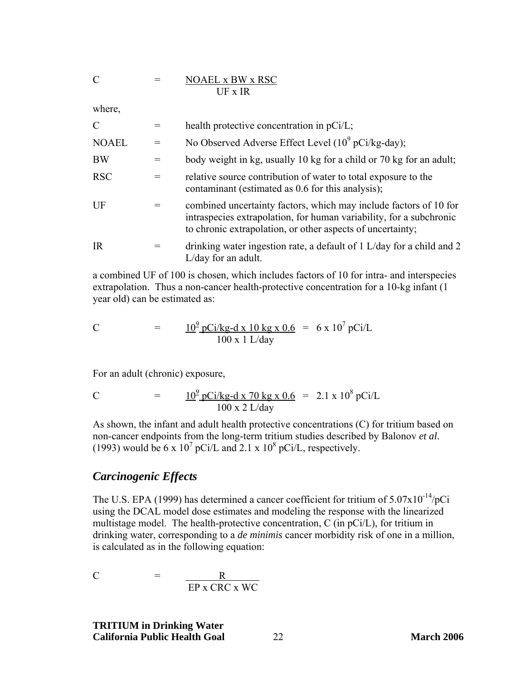<span id="page-28-0"></span>
$$
C = \underline{NOAEL \times BW \times RSC}
$$
  
UF x IR

where,

| $\mathcal{C}$ | health protective concentration in pCi/L;                                                                                                                                                              |
|---------------|--------------------------------------------------------------------------------------------------------------------------------------------------------------------------------------------------------|
| <b>NOAEL</b>  | No Observed Adverse Effect Level $(10^9 \text{ pCi/kg-day})$ ;                                                                                                                                         |
| <b>BW</b>     | body weight in kg, usually 10 kg for a child or 70 kg for an adult;                                                                                                                                    |
| <b>RSC</b>    | relative source contribution of water to total exposure to the<br>contaminant (estimated as 0.6 for this analysis);                                                                                    |
| $U$ F         | combined uncertainty factors, which may include factors of 10 for<br>intraspecies extrapolation, for human variability, for a subchronic<br>to chronic extrapolation, or other aspects of uncertainty; |
| <b>IR</b>     | drinking water ingestion rate, a default of 1 L/day for a child and 2<br>$L/day$ for an adult.                                                                                                         |

a combined UF of 100 is chosen, which includes factors of 10 for intra- and interspecies extrapolation. Thus a non-cancer health-protective concentration for a 10-kg infant (1 year old) can be estimated as:

C = 
$$
\frac{10^9 \text{ pCi/kg-d x 10 kg x 0.6}}{100 \text{ x 1 L/day}} = 6 \text{ x } 10^7 \text{ pCi/L}
$$

For an adult (chronic) exposure,

C = 
$$
\frac{10^9 \text{ pCi/kg-d x 70 kg x 0.6}}{100 \text{ x 2 L/day}} = 2.1 \text{ x } 10^8 \text{ pCi/L}
$$

As shown, the infant and adult health protective concentrations (C) for tritium based on non-cancer endpoints from the long-term tritium studies described by Balonov *et al*. (1993) would be 6 x 10<sup>7</sup> pCi/L and 2.1 x 10<sup>8</sup> pCi/L, respectively.

#### *Carcinogenic Effects*

The U.S. EPA (1999) has determined a cancer coefficient for tritium of  $5.07 \times 10^{-14}$ /pCi using the DCAL model dose estimates and modeling the response with the linearized multistage model. The health-protective concentration, C (in pCi/L), for tritium in drinking water, corresponding to a *de minimis* cancer morbidity risk of one in a million, is calculated as in the following equation:

$$
C = \frac{R}{\text{EP } x \text{ CRC } x \text{ WC}}
$$

**TRITIUM in Drinking Water California Public Health Goal** 22 **March 2006**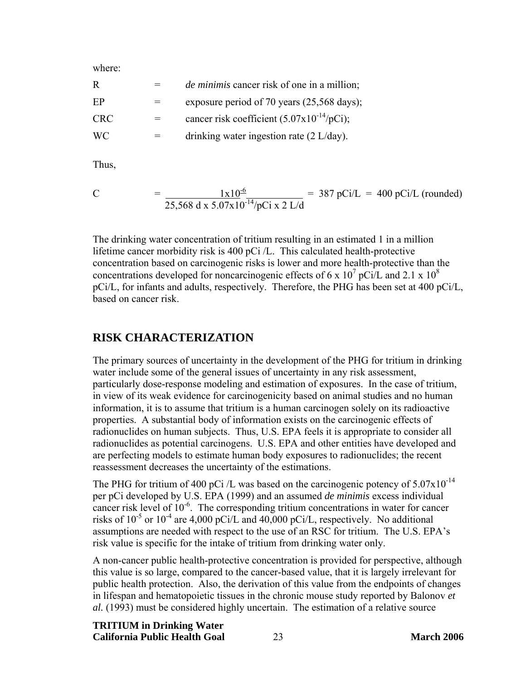<span id="page-29-0"></span>where:

| R          |         | <i>de minimis</i> cancer risk of one in a million;     |
|------------|---------|--------------------------------------------------------|
| EP         | $=$     | exposure period of 70 years (25,568 days);             |
| <b>CRC</b> | $=$     | cancer risk coefficient $(5.07 \times 10^{-14}/pCi)$ ; |
| WC.        | $=$ $-$ | drinking water ingestion rate $(2 L/day)$ .            |

Thus,

C = 
$$
\frac{1 \times 10^{-6}}{25,568 \text{ d} \times 5.07 \times 10^{-14} / p\text{Ci} \times 2 \text{ L/d}}
$$
 = 387 pCi/L = 400 pCi/L (rounded)

The drinking water concentration of tritium resulting in an estimated 1 in a million lifetime cancer morbidity risk is 400 pCi /L. This calculated health-protective concentration based on carcinogenic risks is lower and more health-protective than the concentrations developed for noncarcinogenic effects of 6 x  $10^7$  pCi/L and 2.1 x  $10^8$ pCi/L, for infants and adults, respectively. Therefore, the PHG has been set at 400 pCi/L, based on cancer risk.

#### **RISK CHARACTERIZATION**

The primary sources of uncertainty in the development of the PHG for tritium in drinking water include some of the general issues of uncertainty in any risk assessment, particularly dose-response modeling and estimation of exposures. In the case of tritium, in view of its weak evidence for carcinogenicity based on animal studies and no human information, it is to assume that tritium is a human carcinogen solely on its radioactive properties. A substantial body of information exists on the carcinogenic effects of radionuclides on human subjects. Thus, U.S. EPA feels it is appropriate to consider all radionuclides as potential carcinogens. U.S. EPA and other entities have developed and are perfecting models to estimate human body exposures to radionuclides; the recent reassessment decreases the uncertainty of the estimations.

The PHG for tritium of 400 pCi /L was based on the carcinogenic potency of  $5.07 \times 10^{-14}$ per pCi developed by U.S. EPA (1999) and an assumed *de minimis* excess individual cancer risk level of  $10^{-6}$ . The corresponding tritium concentrations in water for cancer risks of  $10^{-5}$  or  $10^{-4}$  are 4,000 pCi/L and 40,000 pCi/L, respectively. No additional assumptions are needed with respect to the use of an RSC for tritium. The U.S. EPA's risk value is specific for the intake of tritium from drinking water only.

A non-cancer public health-protective concentration is provided for perspective, although this value is so large, compared to the cancer-based value, that it is largely irrelevant for public health protection. Also, the derivation of this value from the endpoints of changes in lifespan and hematopoietic tissues in the chronic mouse study reported by Balonov *et al.* (1993) must be considered highly uncertain. The estimation of a relative source

# **TRITIUM in Drinking Water**

**California Public Health Goal** 23 **March 2006**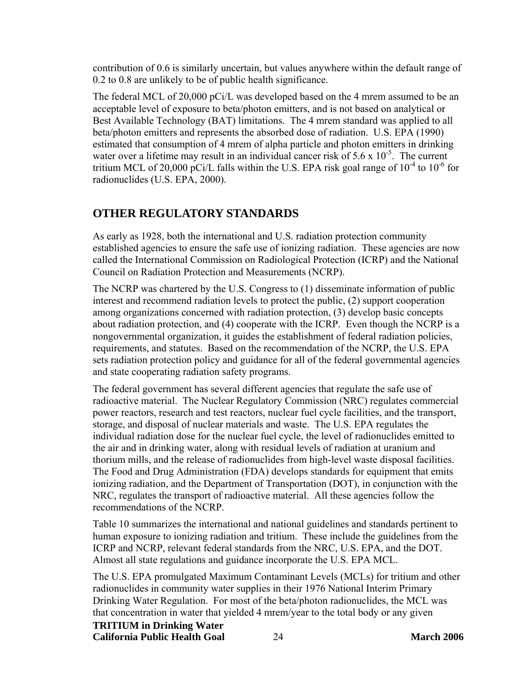<span id="page-30-0"></span>contribution of 0.6 is similarly uncertain, but values anywhere within the default range of 0.2 to 0.8 are unlikely to be of public health significance.

The federal MCL of 20,000 pCi/L was developed based on the 4 mrem assumed to be an acceptable level of exposure to beta/photon emitters, and is not based on analytical or Best Available Technology (BAT) limitations. The 4 mrem standard was applied to all beta/photon emitters and represents the absorbed dose of radiation. U.S. EPA (1990) estimated that consumption of 4 mrem of alpha particle and photon emitters in drinking water over a lifetime may result in an individual cancer risk of  $5.6 \times 10^{-5}$ . The current tritium MCL of 20,000 pCi/L falls within the U.S. EPA risk goal range of  $10^{-4}$  to  $10^{-6}$  for radionuclides (U.S. EPA, 2000).

# **OTHER REGULATORY STANDARDS**

As early as 1928, both the international and U.S. radiation protection community established agencies to ensure the safe use of ionizing radiation. These agencies are now called the International Commission on Radiological Protection (ICRP) and the National Council on Radiation Protection and Measurements (NCRP).

The NCRP was chartered by the U.S. Congress to (1) disseminate information of public interest and recommend radiation levels to protect the public, (2) support cooperation among organizations concerned with radiation protection, (3) develop basic concepts about radiation protection, and (4) cooperate with the ICRP. Even though the NCRP is a nongovernmental organization, it guides the establishment of federal radiation policies, requirements, and statutes. Based on the recommendation of the NCRP, the U.S. EPA sets radiation protection policy and guidance for all of the federal governmental agencies and state cooperating radiation safety programs.

The federal government has several different agencies that regulate the safe use of radioactive material. The Nuclear Regulatory Commission (NRC) regulates commercial power reactors, research and test reactors, nuclear fuel cycle facilities, and the transport, storage, and disposal of nuclear materials and waste. The U.S. EPA regulates the individual radiation dose for the nuclear fuel cycle, the level of radionuclides emitted to the air and in drinking water, along with residual levels of radiation at uranium and thorium mills, and the release of radionuclides from high-level waste disposal facilities. The Food and Drug Administration (FDA) develops standards for equipment that emits ionizing radiation, and the Department of Transportation (DOT), in conjunction with the NRC, regulates the transport of radioactive material. All these agencies follow the recommendations of the NCRP.

Table 10 summarizes the international and national guidelines and standards pertinent to human exposure to ionizing radiation and tritium. These include the guidelines from the ICRP and NCRP, relevant federal standards from the NRC, U.S. EPA, and the DOT. Almost all state regulations and guidance incorporate the U.S. EPA MCL.

The U.S. EPA promulgated Maximum Contaminant Levels (MCLs) for tritium and other radionuclides in community water supplies in their 1976 National Interim Primary Drinking Water Regulation. For most of the beta/photon radionuclides, the MCL was that concentration in water that yielded 4 mrem/year to the total body or any given

#### **TRITIUM in Drinking Water**

**California Public Health Goal** 24 **March 2006**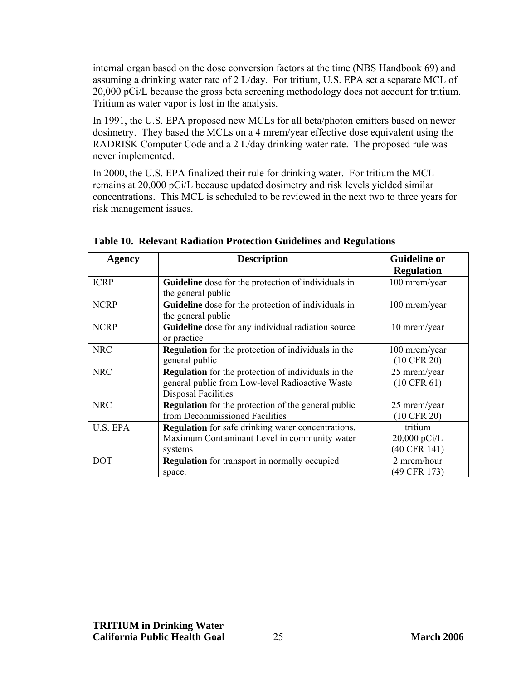internal organ based on the dose conversion factors at the time (NBS Handbook 69) and assuming a drinking water rate of 2 L/day. For tritium, U.S. EPA set a separate MCL of 20,000 pCi/L because the gross beta screening methodology does not account for tritium. Tritium as water vapor is lost in the analysis.

In 1991, the U.S. EPA proposed new MCLs for all beta/photon emitters based on newer dosimetry. They based the MCLs on a 4 mrem/year effective dose equivalent using the RADRISK Computer Code and a 2 L/day drinking water rate. The proposed rule was never implemented.

In 2000, the U.S. EPA finalized their rule for drinking water. For tritium the MCL remains at 20,000 pCi/L because updated dosimetry and risk levels yielded similar concentrations. This MCL is scheduled to be reviewed in the next two to three years for risk management issues.

| Agency      | <b>Description</b>                                         | <b>Guideline or</b>    |
|-------------|------------------------------------------------------------|------------------------|
|             |                                                            | <b>Regulation</b>      |
| <b>ICRP</b> | Guideline dose for the protection of individuals in        | 100 mrem/year          |
|             | the general public                                         |                        |
| <b>NCRP</b> | Guideline dose for the protection of individuals in        | 100 mrem/year          |
|             | the general public                                         |                        |
| <b>NCRP</b> | Guideline dose for any individual radiation source         | 10 mrem/year           |
|             | or practice                                                |                        |
| <b>NRC</b>  | <b>Regulation</b> for the protection of individuals in the | 100 mrem/year          |
|             | general public                                             | $(10 \text{ CFR } 20)$ |
| <b>NRC</b>  | <b>Regulation</b> for the protection of individuals in the | 25 mrem/year           |
|             | general public from Low-level Radioactive Waste            | $(10 \text{ CFR } 61)$ |
|             | <b>Disposal Facilities</b>                                 |                        |
| <b>NRC</b>  | <b>Regulation</b> for the protection of the general public | 25 mrem/year           |
|             | from Decommissioned Facilities                             | $(10 \text{ CFR } 20)$ |
| U.S. EPA    | <b>Regulation</b> for safe drinking water concentrations.  | tritium                |
|             | Maximum Contaminant Level in community water               | $20,000 \text{ pCi/L}$ |
|             | systems                                                    | (40 CFR 141)           |
| <b>DOT</b>  | <b>Regulation</b> for transport in normally occupied       | 2 mrem/hour            |
|             | space.                                                     | (49 CFR 173)           |

**Table 10. Relevant Radiation Protection Guidelines and Regulations**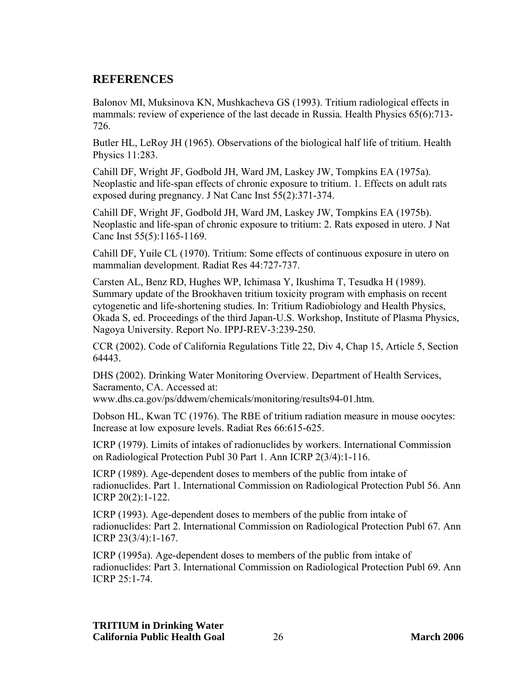# <span id="page-32-0"></span>**REFERENCES**

Balonov MI, Muksinova KN, Mushkacheva GS (1993). Tritium radiological effects in mammals: review of experience of the last decade in Russia*.* Health Physics 65(6):713- 726.

Butler HL, LeRoy JH (1965). Observations of the biological half life of tritium. Health Physics 11:283.

Cahill DF, Wright JF, Godbold JH, Ward JM, Laskey JW, Tompkins EA (1975a). Neoplastic and life-span effects of chronic exposure to tritium. 1. Effects on adult rats exposed during pregnancy. J Nat Canc Inst 55(2):371-374.

Cahill DF, Wright JF, Godbold JH, Ward JM, Laskey JW, Tompkins EA (1975b). Neoplastic and life-span of chronic exposure to tritium: 2. Rats exposed in utero. J Nat Canc Inst 55(5):1165-1169.

Cahill DF, Yuile CL (1970). Tritium: Some effects of continuous exposure in utero on mammalian development. Radiat Res 44:727-737.

Carsten AL, Benz RD, Hughes WP, Ichimasa Y, Ikushima T, Tesudka H (1989). Summary update of the Brookhaven tritium toxicity program with emphasis on recent cytogenetic and life-shortening studies. In: Tritium Radiobiology and Health Physics, Okada S, ed. Proceedings of the third Japan-U.S. Workshop, Institute of Plasma Physics, Nagoya University. Report No. IPPJ-REV-3:239-250.

CCR (2002). Code of California Regulations Title 22, Div 4, Chap 15, Article 5, Section 64443.

DHS (2002). Drinking Water Monitoring Overview. Department of Health Services, Sacramento, CA. Accessed at:

www.dhs.ca.gov/ps/ddwem/chemicals/monitoring/results94-01.htm.

Dobson HL, Kwan TC (1976). The RBE of tritium radiation measure in mouse oocytes: Increase at low exposure levels. Radiat Res 66:615-625.

ICRP (1979). Limits of intakes of radionuclides by workers. International Commission on Radiological Protection Publ 30 Part 1. Ann ICRP 2(3/4):1-116.

ICRP (1989). Age-dependent doses to members of the public from intake of radionuclides. Part 1. International Commission on Radiological Protection Publ 56. Ann ICRP 20(2):1-122.

ICRP (1993). Age-dependent doses to members of the public from intake of radionuclides: Part 2. International Commission on Radiological Protection Publ 67. Ann ICRP 23(3/4):1-167.

ICRP (1995a). Age-dependent doses to members of the public from intake of radionuclides: Part 3. International Commission on Radiological Protection Publ 69. Ann ICRP 25:1-74.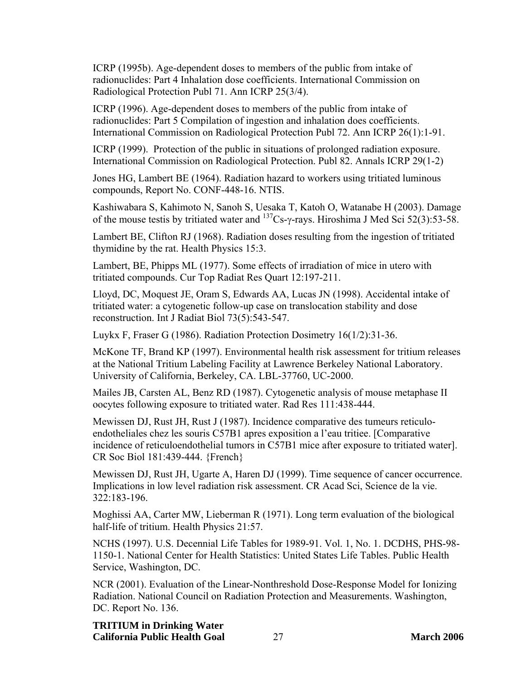ICRP (1995b). Age-dependent doses to members of the public from intake of radionuclides: Part 4 Inhalation dose coefficients. International Commission on Radiological Protection Publ 71. Ann ICRP 25(3/4).

ICRP (1996). Age-dependent doses to members of the public from intake of radionuclides: Part 5 Compilation of ingestion and inhalation does coefficients. International Commission on Radiological Protection Publ 72. Ann ICRP 26(1):1-91.

ICRP (1999). Protection of the public in situations of prolonged radiation exposure. International Commission on Radiological Protection. Publ 82. Annals ICRP 29(1-2)

Jones HG, Lambert BE (1964). Radiation hazard to workers using tritiated luminous compounds, Report No. CONF-448-16. NTIS.

Kashiwabara S, Kahimoto N, Sanoh S, Uesaka T, Katoh O, Watanabe H (2003). Damage of the mouse testis by tritiated water and  $137$ Cs-γ-rays. Hiroshima J Med Sci 52(3):53-58.

Lambert BE, Clifton RJ (1968). Radiation doses resulting from the ingestion of tritiated thymidine by the rat. Health Physics 15:3.

Lambert, BE, Phipps ML (1977). Some effects of irradiation of mice in utero with tritiated compounds. Cur Top Radiat Res Quart 12:197-211.

Lloyd, DC, Moquest JE, Oram S, Edwards AA, Lucas JN (1998). Accidental intake of tritiated water: a cytogenetic follow-up case on translocation stability and dose reconstruction. Int J Radiat Biol 73(5):543-547.

Luykx F, Fraser G (1986). Radiation Protection Dosimetry 16(1/2):31-36.

McKone TF, Brand KP (1997). Environmental health risk assessment for tritium releases at the National Tritium Labeling Facility at Lawrence Berkeley National Laboratory. University of California, Berkeley, CA. LBL-37760, UC-2000.

Mailes JB, Carsten AL, Benz RD (1987). Cytogenetic analysis of mouse metaphase II oocytes following exposure to tritiated water. Rad Res 111:438-444.

Mewissen DJ, Rust JH, Rust J (1987). Incidence comparative des tumeurs reticuloendotheliales chez les souris C57B1 apres exposition a l'eau tritiee. [Comparative incidence of reticuloendothelial tumors in C57B1 mice after exposure to tritiated water]. CR Soc Biol 181:439-444. {French}

Mewissen DJ, Rust JH, Ugarte A, Haren DJ (1999). Time sequence of cancer occurrence. Implications in low level radiation risk assessment. CR Acad Sci, Science de la vie. 322:183-196.

Moghissi AA, Carter MW, Lieberman R (1971). Long term evaluation of the biological half-life of tritium. Health Physics 21:57.

NCHS (1997). U.S. Decennial Life Tables for 1989-91. Vol. 1, No. 1. DCDHS, PHS-98- 1150-1. National Center for Health Statistics: United States Life Tables. Public Health Service, Washington, DC.

NCR (2001). Evaluation of the Linear-Nonthreshold Dose-Response Model for Ionizing Radiation. National Council on Radiation Protection and Measurements. Washington, DC. Report No. 136.

**TRITIUM in Drinking Water California Public Health Goal** 27 **March 2006**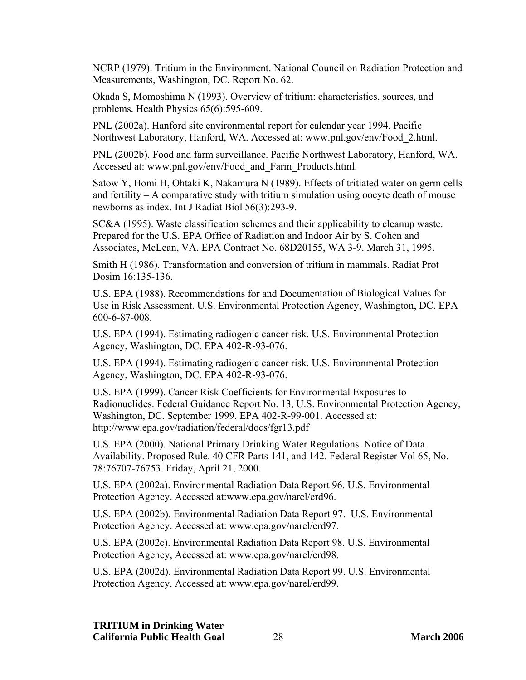NCRP (1979). Tritium in the Environment. National Council on Radiation Protection and Measurements, Washington, DC. Report No. 62.

Okada S, Momoshima N (1993). Overview of tritium: characteristics, sources, and problems*.* Health Physics 65(6):595-609.

PNL (2002a). Hanford site environmental report for calendar year 1994. Pacific Northwest Laboratory, Hanford, WA. Accessed at: [www.pnl.gov/env/Food\\_2.html.](www.pnl.gov/env/Food_2.html.)

PNL (2002b). Food and farm surveillance. Pacific Northwest Laboratory, Hanford, WA. Accessed at: [www.pnl.gov/env/Food\\_and\\_Farm\\_Products.html.](www.pnl.gov/env/Food_and_Farm_Products.html.) 

Satow Y, Homi H, Ohtaki K, Nakamura N (1989). Effects of tritiated water on germ cells and fertility – A comparative study with tritium simulation using oocyte death of mouse newborns as index. Int J Radiat Biol 56(3):293-9.

SC&A (1995). Waste classification schemes and their applicability to cleanup waste. Prepared for the U.S. EPA Office of Radiation and Indoor Air by S. Cohen and Associates, McLean, VA. EPA Contract No. 68D20155, WA 3-9. March 31, 1995.

Smith H (1986). Transformation and conversion of tritium in mammals. Radiat Prot Dosim 16:135-136.

U.S. EPA (1988). Recommendations for and Documentation of Biological Values for Use in Risk Assessment. U.S. Environmental Protection Agency, Washington, DC. EPA 600-6-87-008.

U.S. EPA (1994). Estimating radiogenic cancer risk. U.S. Environmental Protection Agency, Washington, DC. EPA 402-R-93-076.

U.S. EPA (1994). Estimating radiogenic cancer risk. U.S. Environmental Protection Agency, Washington, DC. EPA 402-R-93-076.

U.S. EPA (1999). Cancer Risk Coefficients for Environmental Exposures to Radionuclides. Federal Guidance Report No. 13, U.S. Environmental Protection Agency, Washington, DC. September 1999. EPA 402-R-99-001. Accessed at: <http://www.epa.gov/radiation/federal/docs/fgr13.pdf>

U.S. EPA (2000). National Primary Drinking Water Regulations. Notice of Data Availability. Proposed Rule. 40 CFR Parts 141, and 142. Federal Register Vol 65, No. 78:76707-76753. Friday, April 21, 2000.

U.S. EPA (2002a). Environmental Radiation Data Report 96. U.S. Environmental Protection Agency. Accessed at:[www.epa.gov/narel/erd96.](http://www.epa.gov/narel/erd96)

U.S. EPA (2002b). Environmental Radiation Data Report 97. U.S. Environmental Protection Agency. Accessed at: [www.epa.gov/narel/erd97.](http://www.epa.gov/narel/erd97)

U.S. EPA (2002c). Environmental Radiation Data Report 98. U.S. Environmental Protection Agency, Accessed at: [www.epa.gov/narel/erd98.](http://www.epa.gov/narel/erd98)

U.S. EPA (2002d). Environmental Radiation Data Report 99. U.S. Environmental Protection Agency. Accessed at: [www.epa.gov/narel/erd99.](http://www.epa.gov/narel/erd99)